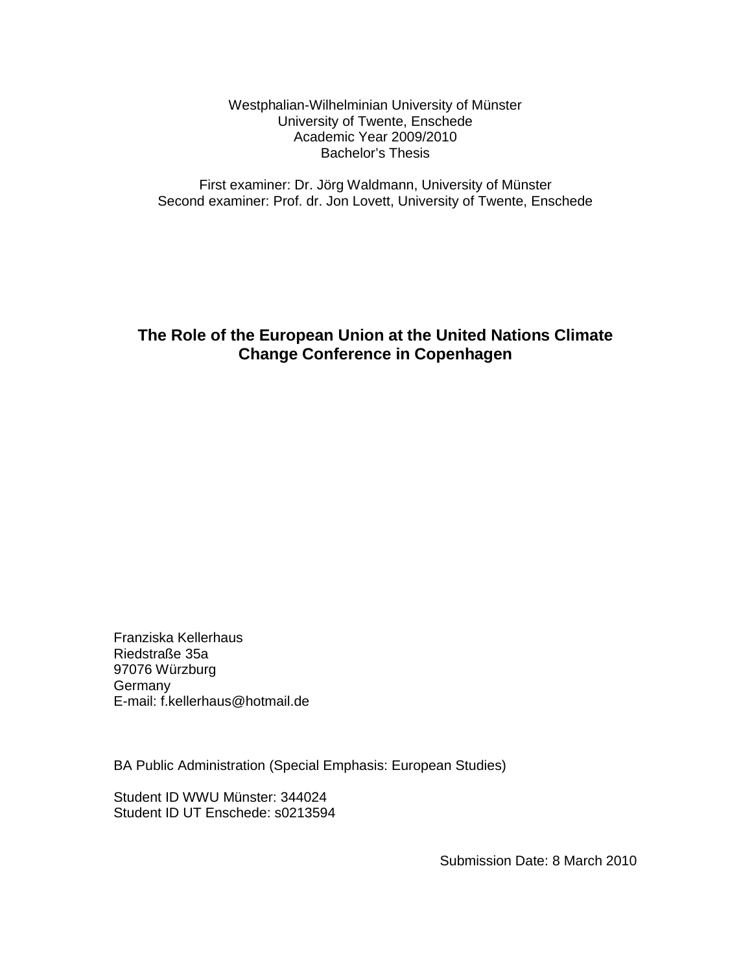Westphalian-Wilhelminian University of Münster University of Twente, Enschede Academic Year 2009/2010 Bachelor's Thesis

First examiner: Dr. Jörg Waldmann, University of Münster Second examiner: Prof. dr. Jon Lovett, University of Twente, Enschede

# **The Role of the European Union at the United Nations Climate Change Conference in Copenhagen**

Franziska Kellerhaus Riedstraße 35a 97076 Würzburg Germany E-mail: f.kellerhaus@hotmail.de

BA Public Administration (Special Emphasis: European Studies)

Student ID WWU Münster: 344024 Student ID UT Enschede: s0213594

Submission Date: 8 March 2010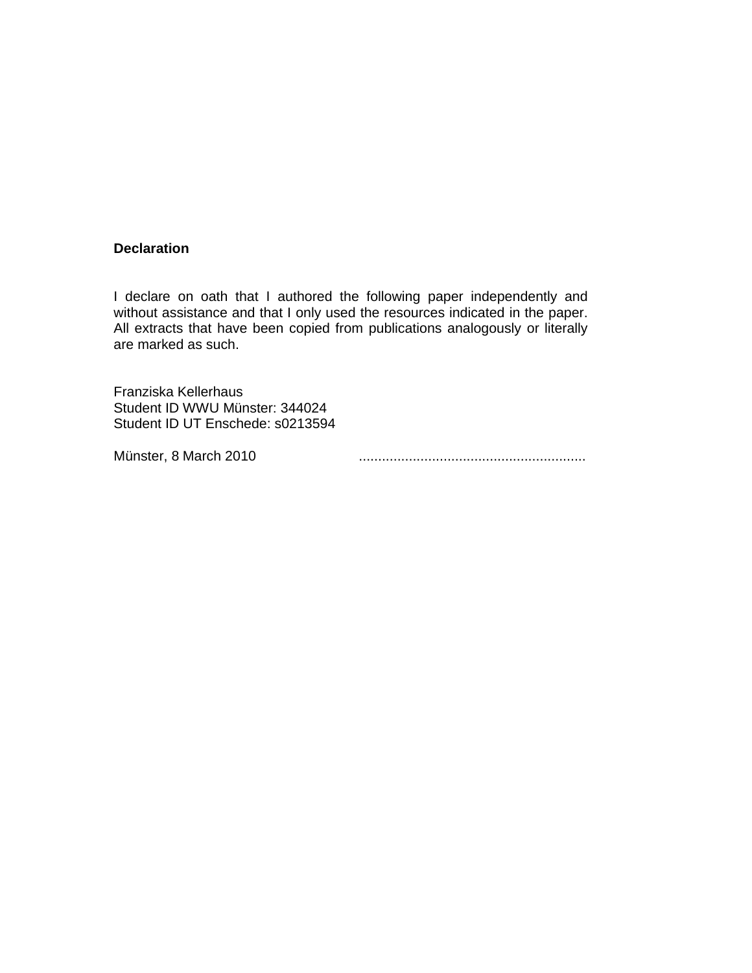# **Declaration**

I declare on oath that I authored the following paper independently and without assistance and that I only used the resources indicated in the paper. All extracts that have been copied from publications analogously or literally are marked as such.

Franziska Kellerhaus Student ID WWU Münster: 344024 Student ID UT Enschede: s0213594

Münster, 8 March 2010 ...........................................................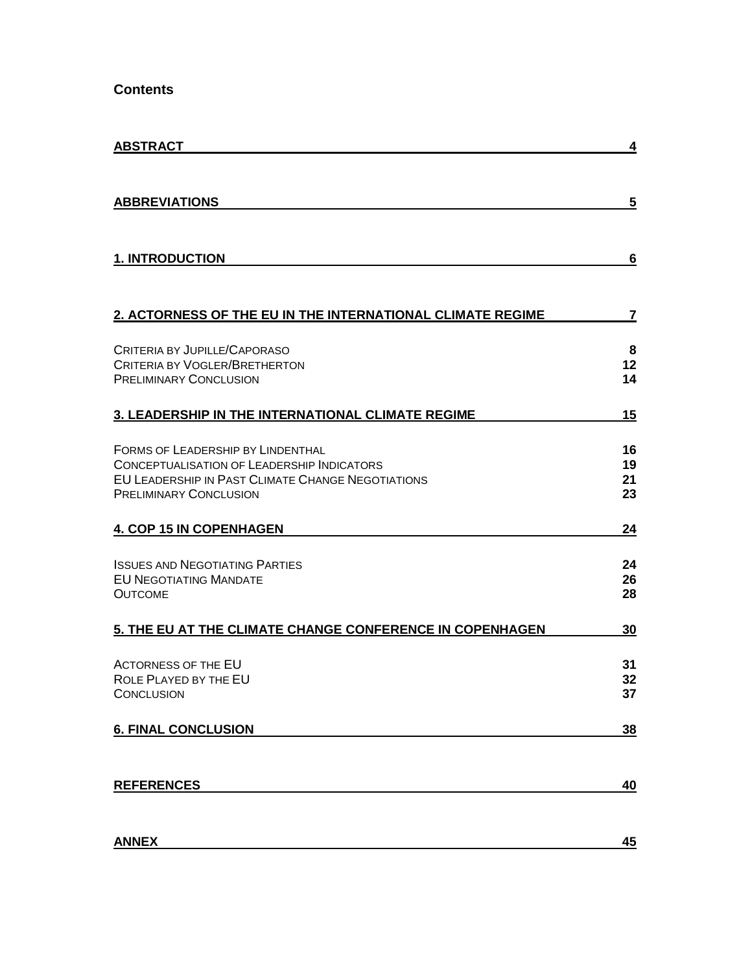**Contents**

| <b>ABSTRACT</b>                                                                    | 4        |
|------------------------------------------------------------------------------------|----------|
|                                                                                    |          |
| <b>ABBREVIATIONS</b>                                                               | 5        |
| <b>1. INTRODUCTION</b>                                                             | 6        |
|                                                                                    |          |
| 2. ACTORNESS OF THE EU IN THE INTERNATIONAL CLIMATE REGIME                         | 7        |
| CRITERIA BY JUPILLE/CAPORASO                                                       | 8        |
| <b>CRITERIA BY VOGLER/BRETHERTON</b><br><b>PRELIMINARY CONCLUSION</b>              | 12<br>14 |
| 3. LEADERSHIP IN THE INTERNATIONAL CLIMATE REGIME                                  | 15       |
| FORMS OF LEADERSHIP BY LINDENTHAL                                                  | 16       |
| <b>CONCEPTUALISATION OF LEADERSHIP INDICATORS</b>                                  | 19       |
| EU LEADERSHIP IN PAST CLIMATE CHANGE NEGOTIATIONS<br><b>PRELIMINARY CONCLUSION</b> | 21<br>23 |
| <b>4. COP 15 IN COPENHAGEN</b>                                                     | 24       |
| <b>ISSUES AND NEGOTIATING PARTIES</b>                                              | 24       |
| <b>EU NEGOTIATING MANDATE</b><br><b>OUTCOME</b>                                    | 26<br>28 |
|                                                                                    |          |
| 5. THE EU AT THE CLIMATE CHANGE CONFERENCE IN COPENHAGEN                           | 30       |
| <b>ACTORNESS OF THE EU</b>                                                         | 31       |
| ROLE PLAYED BY THE EU<br><b>CONCLUSION</b>                                         | 32<br>37 |
| <b>6. FINAL CONCLUSION</b>                                                         | 38       |
|                                                                                    |          |
| <b>REFERENCES</b>                                                                  | 40       |
|                                                                                    |          |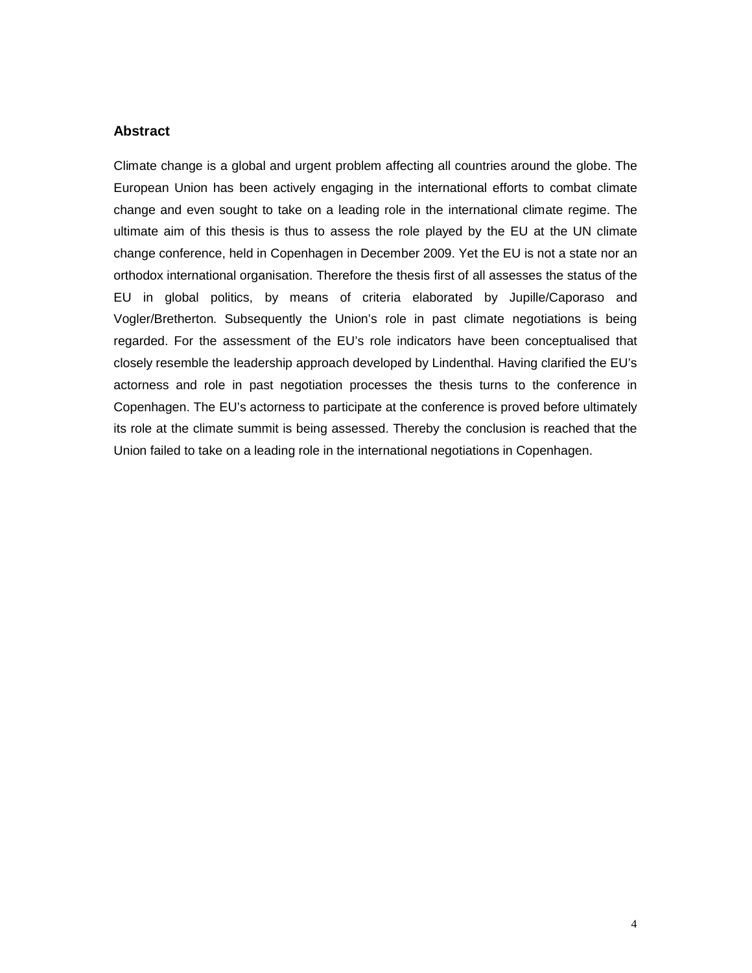# **Abstract**

Climate change is a global and urgent problem affecting all countries around the globe. The European Union has been actively engaging in the international efforts to combat climate change and even sought to take on a leading role in the international climate regime. The ultimate aim of this thesis is thus to assess the role played by the EU at the UN climate change conference, held in Copenhagen in December 2009. Yet the EU is not a state nor an orthodox international organisation. Therefore the thesis first of all assesses the status of the EU in global politics, by means of criteria elaborated by Jupille/Caporaso and Vogler/Bretherton. Subsequently the Union's role in past climate negotiations is being regarded. For the assessment of the EU's role indicators have been conceptualised that closely resemble the leadership approach developed by Lindenthal. Having clarified the EU's actorness and role in past negotiation processes the thesis turns to the conference in Copenhagen. The EU's actorness to participate at the conference is proved before ultimately its role at the climate summit is being assessed. Thereby the conclusion is reached that the Union failed to take on a leading role in the international negotiations in Copenhagen.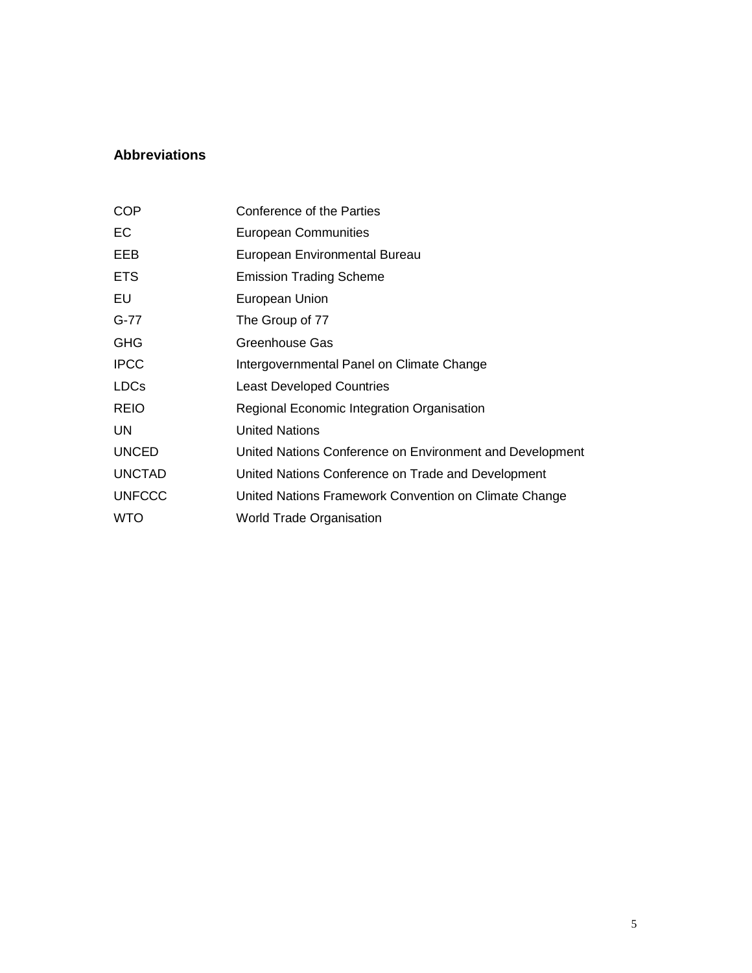# **Abbreviations**

| <b>COP</b>    | Conference of the Parties                                |
|---------------|----------------------------------------------------------|
| ЕC            | <b>European Communities</b>                              |
| EEB           | European Environmental Bureau                            |
| <b>ETS</b>    | <b>Emission Trading Scheme</b>                           |
| EU            | European Union                                           |
| $G-77$        | The Group of 77                                          |
| <b>GHG</b>    | Greenhouse Gas                                           |
| <b>IPCC</b>   | Intergovernmental Panel on Climate Change                |
| <b>LDCs</b>   | <b>Least Developed Countries</b>                         |
| <b>REIO</b>   | Regional Economic Integration Organisation               |
| <b>UN</b>     | <b>United Nations</b>                                    |
| <b>UNCED</b>  | United Nations Conference on Environment and Development |
| <b>UNCTAD</b> | United Nations Conference on Trade and Development       |
| <b>UNFCCC</b> | United Nations Framework Convention on Climate Change    |
| <b>WTO</b>    | <b>World Trade Organisation</b>                          |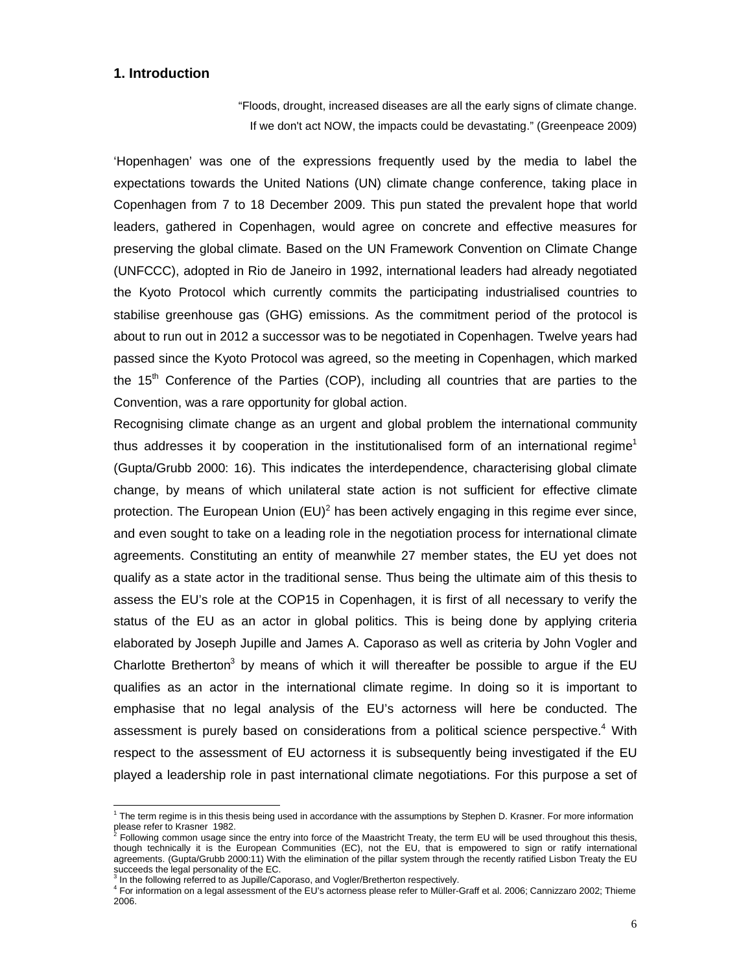# **1. Introduction**

"Floods, drought, increased diseases are all the early signs of climate change. If we don't act NOW, the impacts could be devastating." (Greenpeace 2009)

'Hopenhagen' was one of the expressions frequently used by the media to label the expectations towards the United Nations (UN) climate change conference, taking place in Copenhagen from 7 to 18 December 2009. This pun stated the prevalent hope that world leaders, gathered in Copenhagen, would agree on concrete and effective measures for preserving the global climate. Based on the UN Framework Convention on Climate Change (UNFCCC), adopted in Rio de Janeiro in 1992, international leaders had already negotiated the Kyoto Protocol which currently commits the participating industrialised countries to stabilise greenhouse gas (GHG) emissions. As the commitment period of the protocol is about to run out in 2012 a successor was to be negotiated in Copenhagen. Twelve years had passed since the Kyoto Protocol was agreed, so the meeting in Copenhagen, which marked the  $15<sup>th</sup>$  Conference of the Parties (COP), including all countries that are parties to the Convention, was a rare opportunity for global action.

Recognising climate change as an urgent and global problem the international community thus addresses it by cooperation in the institutionalised form of an international regime<sup>1</sup> (Gupta/Grubb 2000: 16). This indicates the interdependence, characterising global climate change, by means of which unilateral state action is not sufficient for effective climate protection. The European Union  $(EU)^2$  has been actively engaging in this regime ever since, and even sought to take on a leading role in the negotiation process for international climate agreements. Constituting an entity of meanwhile 27 member states, the EU yet does not qualify as a state actor in the traditional sense. Thus being the ultimate aim of this thesis to assess the EU's role at the COP15 in Copenhagen, it is first of all necessary to verify the status of the EU as an actor in global politics. This is being done by applying criteria elaborated by Joseph Jupille and James A. Caporaso as well as criteria by John Vogler and Charlotte Bretherton<sup>3</sup> by means of which it will thereafter be possible to argue if the EU qualifies as an actor in the international climate regime. In doing so it is important to emphasise that no legal analysis of the EU's actorness will here be conducted. The assessment is purely based on considerations from a political science perspective.4 With respect to the assessment of EU actorness it is subsequently being investigated if the EU played a leadership role in past international climate negotiations. For this purpose a set of

 $\overline{a}$ 

 $1$  The term regime is in this thesis being used in accordance with the assumptions by Stephen D. Krasner. For more information please refer to Krasner 1982.

<sup>2</sup> Following common usage since the entry into force of the Maastricht Treaty, the term EU will be used throughout this thesis, though technically it is the European Communities (EC), not the EU, that is empowered to sign or ratify international agreements. (Gupta/Grubb 2000:11) With the elimination of the pillar system through the recently ratified Lisbon Treaty the EU succeeds the legal personality of the EC.

 $3$  In the following referred to as Jupille/Caporaso, and Vogler/Bretherton respectively.

<sup>4</sup> For information on a legal assessment of the EU's actorness please refer to Müller-Graff et al. 2006; Cannizzaro 2002; Thieme 2006.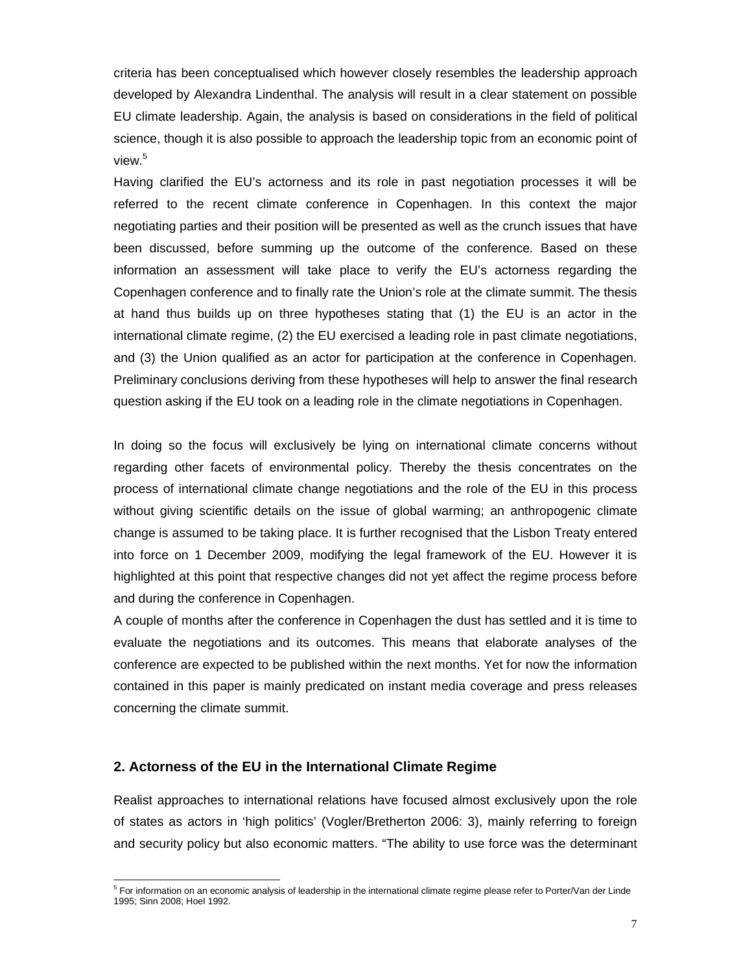criteria has been conceptualised which however closely resembles the leadership approach developed by Alexandra Lindenthal. The analysis will result in a clear statement on possible EU climate leadership. Again, the analysis is based on considerations in the field of political science, though it is also possible to approach the leadership topic from an economic point of view.<sup>5</sup>

Having clarified the EU's actorness and its role in past negotiation processes it will be referred to the recent climate conference in Copenhagen. In this context the major negotiating parties and their position will be presented as well as the crunch issues that have been discussed, before summing up the outcome of the conference. Based on these information an assessment will take place to verify the EU's actorness regarding the Copenhagen conference and to finally rate the Union's role at the climate summit. The thesis at hand thus builds up on three hypotheses stating that (1) the EU is an actor in the international climate regime, (2) the EU exercised a leading role in past climate negotiations, and (3) the Union qualified as an actor for participation at the conference in Copenhagen. Preliminary conclusions deriving from these hypotheses will help to answer the final research question asking if the EU took on a leading role in the climate negotiations in Copenhagen.

In doing so the focus will exclusively be lying on international climate concerns without regarding other facets of environmental policy. Thereby the thesis concentrates on the process of international climate change negotiations and the role of the EU in this process without giving scientific details on the issue of global warming; an anthropogenic climate change is assumed to be taking place. It is further recognised that the Lisbon Treaty entered into force on 1 December 2009, modifying the legal framework of the EU. However it is highlighted at this point that respective changes did not yet affect the regime process before and during the conference in Copenhagen.

A couple of months after the conference in Copenhagen the dust has settled and it is time to evaluate the negotiations and its outcomes. This means that elaborate analyses of the conference are expected to be published within the next months. Yet for now the information contained in this paper is mainly predicated on instant media coverage and press releases concerning the climate summit.

### **2. Actorness of the EU in the International Climate Regime**

l

Realist approaches to international relations have focused almost exclusively upon the role of states as actors in 'high politics' (Vogler/Bretherton 2006: 3), mainly referring to foreign and security policy but also economic matters. "The ability to use force was the determinant

<sup>&</sup>lt;sup>5</sup> For information on an economic analysis of leadership in the international climate regime please refer to Porter/Van der Linde 1995; Sinn 2008; Hoel 1992.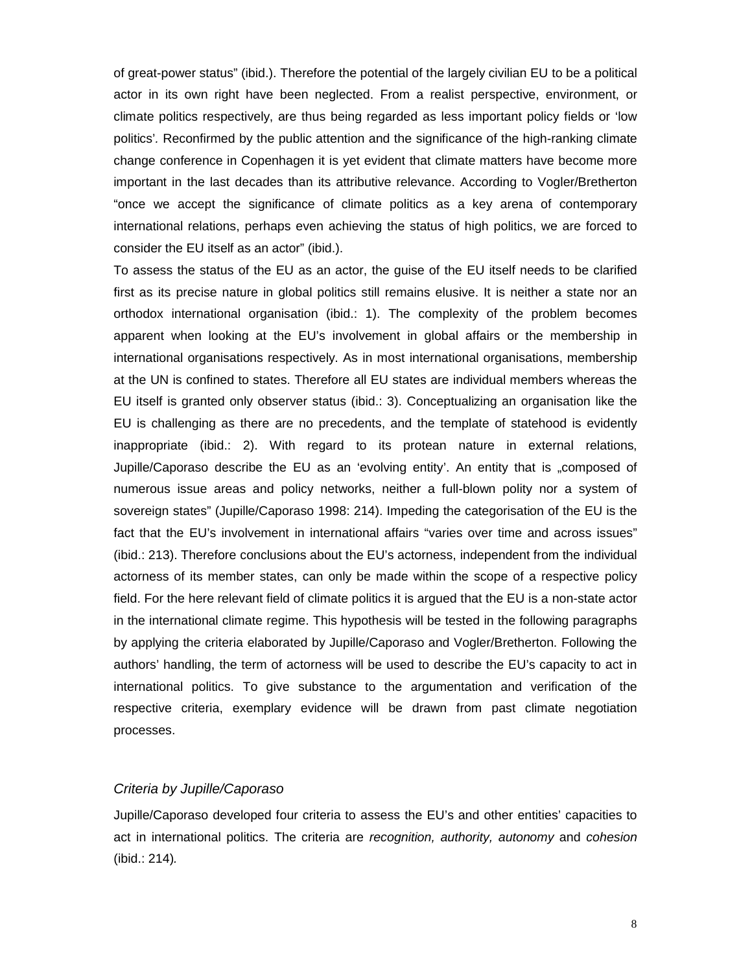of great-power status" (ibid.). Therefore the potential of the largely civilian EU to be a political actor in its own right have been neglected. From a realist perspective, environment, or climate politics respectively, are thus being regarded as less important policy fields or 'low politics'*.* Reconfirmed by the public attention and the significance of the high-ranking climate change conference in Copenhagen it is yet evident that climate matters have become more important in the last decades than its attributive relevance. According to Vogler/Bretherton "once we accept the significance of climate politics as a key arena of contemporary international relations, perhaps even achieving the status of high politics, we are forced to consider the EU itself as an actor" (ibid.).

To assess the status of the EU as an actor, the guise of the EU itself needs to be clarified first as its precise nature in global politics still remains elusive. It is neither a state nor an orthodox international organisation (ibid.: 1). The complexity of the problem becomes apparent when looking at the EU's involvement in global affairs or the membership in international organisations respectively. As in most international organisations, membership at the UN is confined to states. Therefore all EU states are individual members whereas the EU itself is granted only observer status (ibid.: 3). Conceptualizing an organisation like the EU is challenging as there are no precedents, and the template of statehood is evidently inappropriate (ibid.: 2). With regard to its protean nature in external relations, Jupille/Caporaso describe the EU as an 'evolving entity'. An entity that is "composed of numerous issue areas and policy networks, neither a full-blown polity nor a system of sovereign states" (Jupille/Caporaso 1998: 214). Impeding the categorisation of the EU is the fact that the EU's involvement in international affairs "varies over time and across issues" (ibid.: 213). Therefore conclusions about the EU's actorness, independent from the individual actorness of its member states, can only be made within the scope of a respective policy field. For the here relevant field of climate politics it is argued that the EU is a non-state actor in the international climate regime. This hypothesis will be tested in the following paragraphs by applying the criteria elaborated by Jupille/Caporaso and Vogler/Bretherton. Following the authors' handling, the term of actorness will be used to describe the EU's capacity to act in international politics. To give substance to the argumentation and verification of the respective criteria, exemplary evidence will be drawn from past climate negotiation processes.

### *Criteria by Jupille/Caporaso*

Jupille/Caporaso developed four criteria to assess the EU's and other entities' capacities to act in international politics. The criteria are *recognition, authority, autonomy* and *cohesion* (ibid.: 214)*.*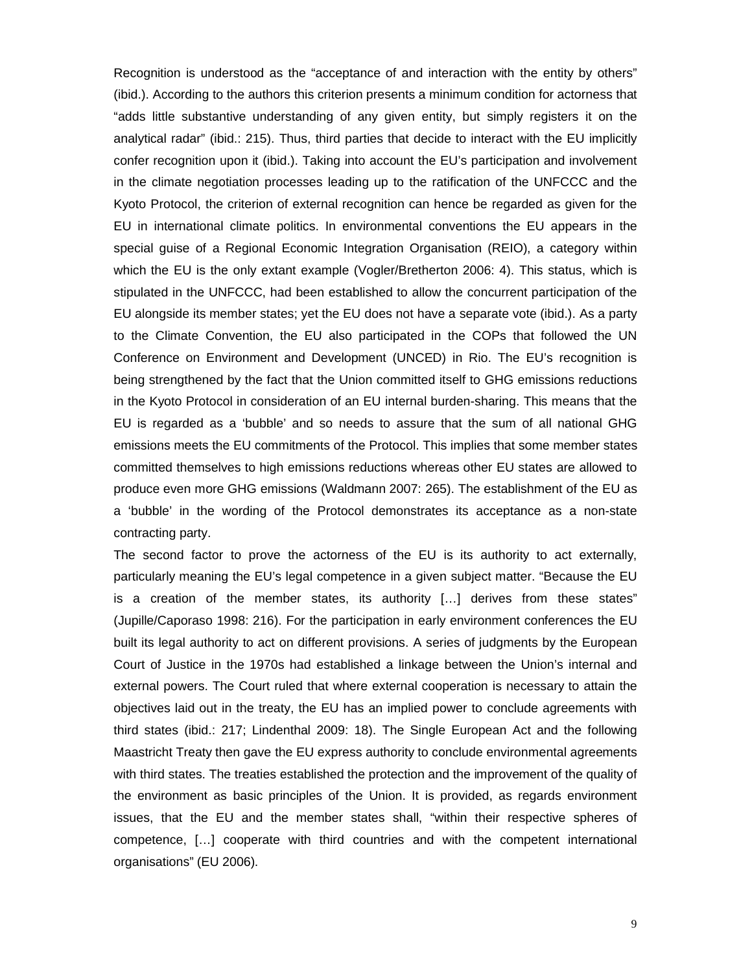Recognition is understood as the "acceptance of and interaction with the entity by others" (ibid.). According to the authors this criterion presents a minimum condition for actorness that "adds little substantive understanding of any given entity, but simply registers it on the analytical radar" (ibid.: 215). Thus, third parties that decide to interact with the EU implicitly confer recognition upon it (ibid.). Taking into account the EU's participation and involvement in the climate negotiation processes leading up to the ratification of the UNFCCC and the Kyoto Protocol, the criterion of external recognition can hence be regarded as given for the EU in international climate politics. In environmental conventions the EU appears in the special guise of a Regional Economic Integration Organisation (REIO), a category within which the EU is the only extant example (Vogler/Bretherton 2006: 4). This status, which is stipulated in the UNFCCC, had been established to allow the concurrent participation of the EU alongside its member states; yet the EU does not have a separate vote (ibid.). As a party to the Climate Convention, the EU also participated in the COPs that followed the UN Conference on Environment and Development (UNCED) in Rio. The EU's recognition is being strengthened by the fact that the Union committed itself to GHG emissions reductions in the Kyoto Protocol in consideration of an EU internal burden-sharing. This means that the EU is regarded as a 'bubble' and so needs to assure that the sum of all national GHG emissions meets the EU commitments of the Protocol. This implies that some member states committed themselves to high emissions reductions whereas other EU states are allowed to produce even more GHG emissions (Waldmann 2007: 265). The establishment of the EU as a 'bubble' in the wording of the Protocol demonstrates its acceptance as a non-state contracting party.

The second factor to prove the actorness of the EU is its authority to act externally, particularly meaning the EU's legal competence in a given subject matter. "Because the EU is a creation of the member states, its authority […] derives from these states" (Jupille/Caporaso 1998: 216). For the participation in early environment conferences the EU built its legal authority to act on different provisions. A series of judgments by the European Court of Justice in the 1970s had established a linkage between the Union's internal and external powers. The Court ruled that where external cooperation is necessary to attain the objectives laid out in the treaty, the EU has an implied power to conclude agreements with third states (ibid.: 217; Lindenthal 2009: 18). The Single European Act and the following Maastricht Treaty then gave the EU express authority to conclude environmental agreements with third states. The treaties established the protection and the improvement of the quality of the environment as basic principles of the Union. It is provided, as regards environment issues, that the EU and the member states shall, "within their respective spheres of competence, […] cooperate with third countries and with the competent international organisations" (EU 2006).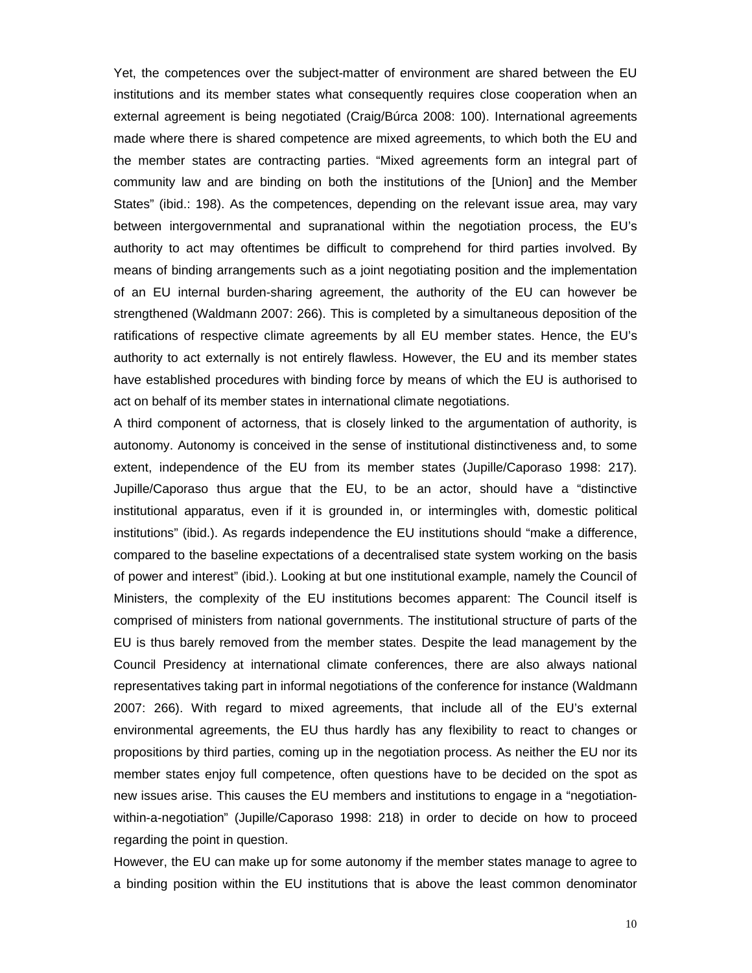Yet, the competences over the subject-matter of environment are shared between the EU institutions and its member states what consequently requires close cooperation when an external agreement is being negotiated (Craig/Búrca 2008: 100). International agreements made where there is shared competence are mixed agreements, to which both the EU and the member states are contracting parties. "Mixed agreements form an integral part of community law and are binding on both the institutions of the [Union] and the Member States" (ibid.: 198). As the competences, depending on the relevant issue area, may vary between intergovernmental and supranational within the negotiation process, the EU's authority to act may oftentimes be difficult to comprehend for third parties involved. By means of binding arrangements such as a joint negotiating position and the implementation of an EU internal burden-sharing agreement, the authority of the EU can however be strengthened (Waldmann 2007: 266). This is completed by a simultaneous deposition of the ratifications of respective climate agreements by all EU member states. Hence, the EU's authority to act externally is not entirely flawless. However, the EU and its member states have established procedures with binding force by means of which the EU is authorised to act on behalf of its member states in international climate negotiations.

A third component of actorness, that is closely linked to the argumentation of authority, is autonomy. Autonomy is conceived in the sense of institutional distinctiveness and, to some extent, independence of the EU from its member states (Jupille/Caporaso 1998: 217). Jupille/Caporaso thus argue that the EU, to be an actor, should have a "distinctive institutional apparatus, even if it is grounded in, or intermingles with, domestic political institutions" (ibid.). As regards independence the EU institutions should "make a difference, compared to the baseline expectations of a decentralised state system working on the basis of power and interest" (ibid.). Looking at but one institutional example, namely the Council of Ministers, the complexity of the EU institutions becomes apparent: The Council itself is comprised of ministers from national governments. The institutional structure of parts of the EU is thus barely removed from the member states. Despite the lead management by the Council Presidency at international climate conferences, there are also always national representatives taking part in informal negotiations of the conference for instance (Waldmann 2007: 266). With regard to mixed agreements, that include all of the EU's external environmental agreements, the EU thus hardly has any flexibility to react to changes or propositions by third parties, coming up in the negotiation process. As neither the EU nor its member states enjoy full competence, often questions have to be decided on the spot as new issues arise. This causes the EU members and institutions to engage in a "negotiationwithin-a-negotiation" (Jupille/Caporaso 1998: 218) in order to decide on how to proceed regarding the point in question.

However, the EU can make up for some autonomy if the member states manage to agree to a binding position within the EU institutions that is above the least common denominator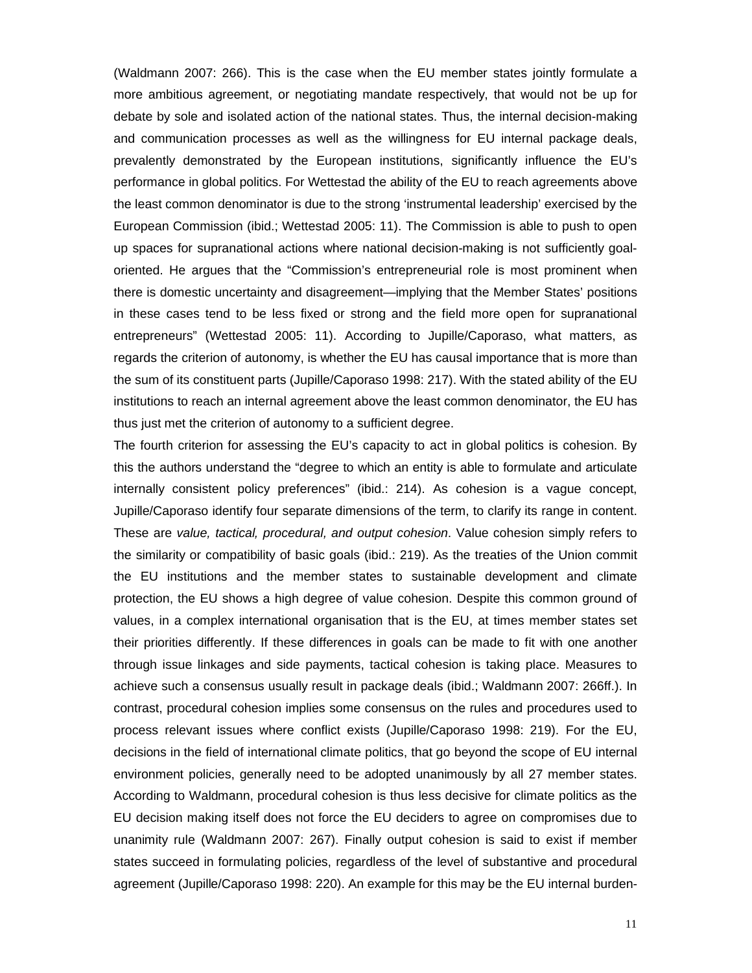(Waldmann 2007: 266). This is the case when the EU member states jointly formulate a more ambitious agreement, or negotiating mandate respectively, that would not be up for debate by sole and isolated action of the national states. Thus, the internal decision-making and communication processes as well as the willingness for EU internal package deals, prevalently demonstrated by the European institutions, significantly influence the EU's performance in global politics. For Wettestad the ability of the EU to reach agreements above the least common denominator is due to the strong 'instrumental leadership' exercised by the European Commission (ibid.; Wettestad 2005: 11). The Commission is able to push to open up spaces for supranational actions where national decision-making is not sufficiently goaloriented. He argues that the "Commission's entrepreneurial role is most prominent when there is domestic uncertainty and disagreement—implying that the Member States' positions in these cases tend to be less fixed or strong and the field more open for supranational entrepreneurs" (Wettestad 2005: 11). According to Jupille/Caporaso, what matters, as regards the criterion of autonomy, is whether the EU has causal importance that is more than the sum of its constituent parts (Jupille/Caporaso 1998: 217). With the stated ability of the EU institutions to reach an internal agreement above the least common denominator, the EU has thus just met the criterion of autonomy to a sufficient degree.

The fourth criterion for assessing the EU's capacity to act in global politics is cohesion. By this the authors understand the "degree to which an entity is able to formulate and articulate internally consistent policy preferences" (ibid.: 214). As cohesion is a vague concept, Jupille/Caporaso identify four separate dimensions of the term, to clarify its range in content. These are *value, tactical, procedural, and output cohesion*. Value cohesion simply refers to the similarity or compatibility of basic goals (ibid.: 219). As the treaties of the Union commit the EU institutions and the member states to sustainable development and climate protection, the EU shows a high degree of value cohesion. Despite this common ground of values, in a complex international organisation that is the EU, at times member states set their priorities differently. If these differences in goals can be made to fit with one another through issue linkages and side payments, tactical cohesion is taking place. Measures to achieve such a consensus usually result in package deals (ibid.; Waldmann 2007: 266ff.). In contrast, procedural cohesion implies some consensus on the rules and procedures used to process relevant issues where conflict exists (Jupille/Caporaso 1998: 219). For the EU, decisions in the field of international climate politics, that go beyond the scope of EU internal environment policies, generally need to be adopted unanimously by all 27 member states. According to Waldmann, procedural cohesion is thus less decisive for climate politics as the EU decision making itself does not force the EU deciders to agree on compromises due to unanimity rule (Waldmann 2007: 267). Finally output cohesion is said to exist if member states succeed in formulating policies, regardless of the level of substantive and procedural agreement (Jupille/Caporaso 1998: 220). An example for this may be the EU internal burden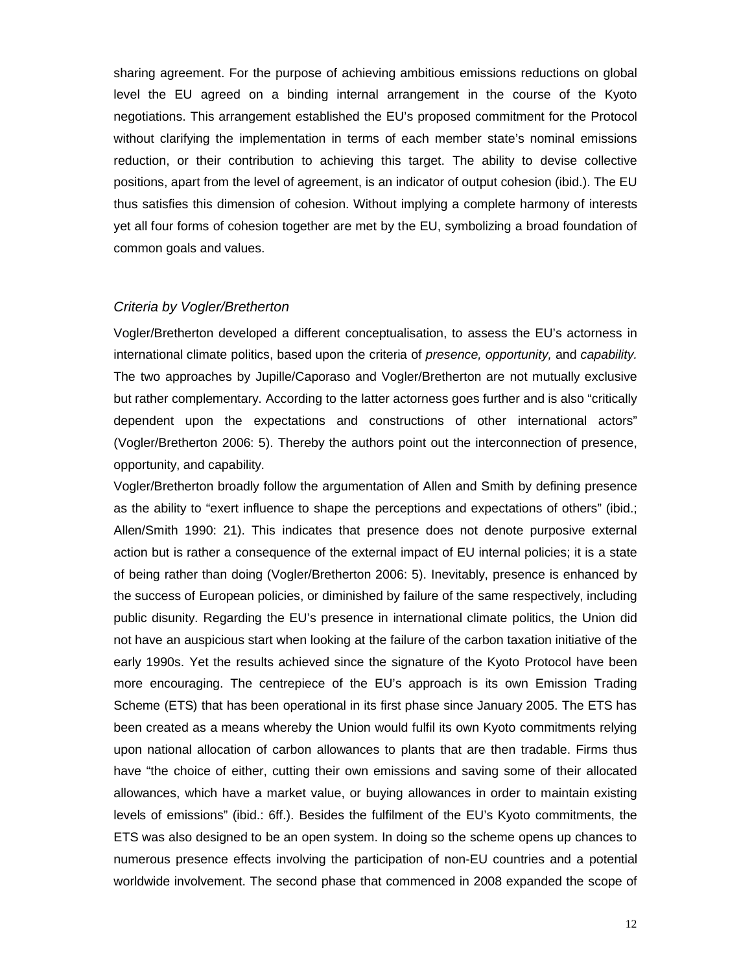sharing agreement. For the purpose of achieving ambitious emissions reductions on global level the EU agreed on a binding internal arrangement in the course of the Kyoto negotiations. This arrangement established the EU's proposed commitment for the Protocol without clarifying the implementation in terms of each member state's nominal emissions reduction, or their contribution to achieving this target. The ability to devise collective positions, apart from the level of agreement, is an indicator of output cohesion (ibid.). The EU thus satisfies this dimension of cohesion. Without implying a complete harmony of interests yet all four forms of cohesion together are met by the EU, symbolizing a broad foundation of common goals and values.

# *Criteria by Vogler/Bretherton*

Vogler/Bretherton developed a different conceptualisation, to assess the EU's actorness in international climate politics, based upon the criteria of *presence, opportunity,* and *capability.* The two approaches by Jupille/Caporaso and Vogler/Bretherton are not mutually exclusive but rather complementary. According to the latter actorness goes further and is also "critically dependent upon the expectations and constructions of other international actors" (Vogler/Bretherton 2006: 5). Thereby the authors point out the interconnection of presence, opportunity, and capability.

Vogler/Bretherton broadly follow the argumentation of Allen and Smith by defining presence as the ability to "exert influence to shape the perceptions and expectations of others" (ibid.; Allen/Smith 1990: 21). This indicates that presence does not denote purposive external action but is rather a consequence of the external impact of EU internal policies; it is a state of being rather than doing (Vogler/Bretherton 2006: 5). Inevitably, presence is enhanced by the success of European policies, or diminished by failure of the same respectively, including public disunity. Regarding the EU's presence in international climate politics, the Union did not have an auspicious start when looking at the failure of the carbon taxation initiative of the early 1990s. Yet the results achieved since the signature of the Kyoto Protocol have been more encouraging. The centrepiece of the EU's approach is its own Emission Trading Scheme (ETS) that has been operational in its first phase since January 2005. The ETS has been created as a means whereby the Union would fulfil its own Kyoto commitments relying upon national allocation of carbon allowances to plants that are then tradable. Firms thus have "the choice of either, cutting their own emissions and saving some of their allocated allowances, which have a market value, or buying allowances in order to maintain existing levels of emissions" (ibid.: 6ff.). Besides the fulfilment of the EU's Kyoto commitments, the ETS was also designed to be an open system. In doing so the scheme opens up chances to numerous presence effects involving the participation of non-EU countries and a potential worldwide involvement. The second phase that commenced in 2008 expanded the scope of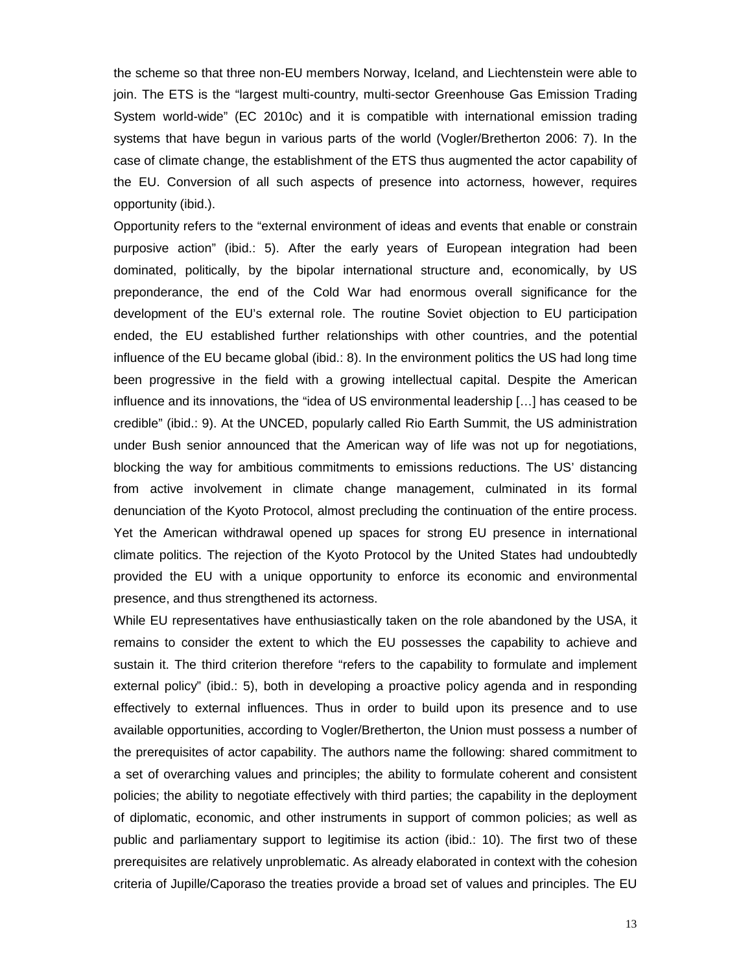the scheme so that three non-EU members Norway, Iceland, and Liechtenstein were able to join. The ETS is the "largest multi-country, multi-sector Greenhouse Gas Emission Trading System world-wide" (EC 2010c) and it is compatible with international emission trading systems that have begun in various parts of the world (Vogler/Bretherton 2006: 7). In the case of climate change, the establishment of the ETS thus augmented the actor capability of the EU. Conversion of all such aspects of presence into actorness, however, requires opportunity (ibid.).

Opportunity refers to the "external environment of ideas and events that enable or constrain purposive action" (ibid.: 5). After the early years of European integration had been dominated, politically, by the bipolar international structure and, economically, by US preponderance, the end of the Cold War had enormous overall significance for the development of the EU's external role. The routine Soviet objection to EU participation ended, the EU established further relationships with other countries, and the potential influence of the EU became global (ibid.: 8). In the environment politics the US had long time been progressive in the field with a growing intellectual capital. Despite the American influence and its innovations, the "idea of US environmental leadership […] has ceased to be credible" (ibid.: 9). At the UNCED, popularly called Rio Earth Summit, the US administration under Bush senior announced that the American way of life was not up for negotiations, blocking the way for ambitious commitments to emissions reductions. The US' distancing from active involvement in climate change management, culminated in its formal denunciation of the Kyoto Protocol, almost precluding the continuation of the entire process. Yet the American withdrawal opened up spaces for strong EU presence in international climate politics. The rejection of the Kyoto Protocol by the United States had undoubtedly provided the EU with a unique opportunity to enforce its economic and environmental presence, and thus strengthened its actorness.

While EU representatives have enthusiastically taken on the role abandoned by the USA, it remains to consider the extent to which the EU possesses the capability to achieve and sustain it. The third criterion therefore "refers to the capability to formulate and implement external policy" (ibid.: 5), both in developing a proactive policy agenda and in responding effectively to external influences. Thus in order to build upon its presence and to use available opportunities, according to Vogler/Bretherton, the Union must possess a number of the prerequisites of actor capability. The authors name the following: shared commitment to a set of overarching values and principles; the ability to formulate coherent and consistent policies; the ability to negotiate effectively with third parties; the capability in the deployment of diplomatic, economic, and other instruments in support of common policies; as well as public and parliamentary support to legitimise its action (ibid.: 10). The first two of these prerequisites are relatively unproblematic. As already elaborated in context with the cohesion criteria of Jupille/Caporaso the treaties provide a broad set of values and principles. The EU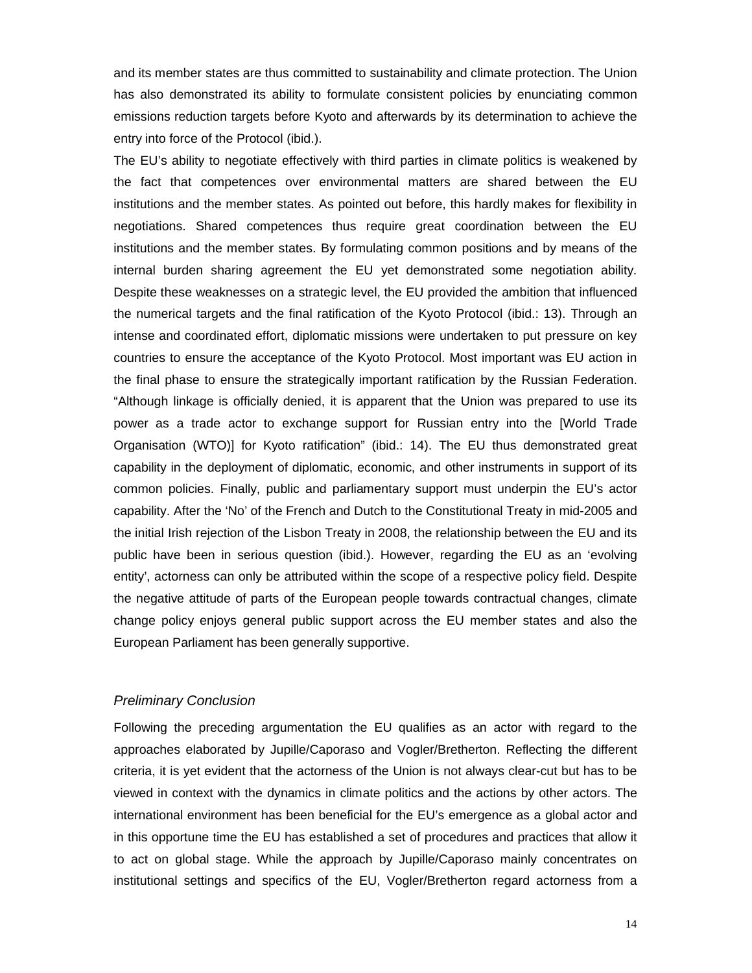and its member states are thus committed to sustainability and climate protection. The Union has also demonstrated its ability to formulate consistent policies by enunciating common emissions reduction targets before Kyoto and afterwards by its determination to achieve the entry into force of the Protocol (ibid.).

The EU's ability to negotiate effectively with third parties in climate politics is weakened by the fact that competences over environmental matters are shared between the EU institutions and the member states. As pointed out before, this hardly makes for flexibility in negotiations. Shared competences thus require great coordination between the EU institutions and the member states. By formulating common positions and by means of the internal burden sharing agreement the EU yet demonstrated some negotiation ability. Despite these weaknesses on a strategic level, the EU provided the ambition that influenced the numerical targets and the final ratification of the Kyoto Protocol (ibid.: 13). Through an intense and coordinated effort, diplomatic missions were undertaken to put pressure on key countries to ensure the acceptance of the Kyoto Protocol. Most important was EU action in the final phase to ensure the strategically important ratification by the Russian Federation. "Although linkage is officially denied, it is apparent that the Union was prepared to use its power as a trade actor to exchange support for Russian entry into the [World Trade Organisation (WTO)] for Kyoto ratification" (ibid.: 14). The EU thus demonstrated great capability in the deployment of diplomatic, economic, and other instruments in support of its common policies. Finally, public and parliamentary support must underpin the EU's actor capability. After the 'No' of the French and Dutch to the Constitutional Treaty in mid-2005 and the initial Irish rejection of the Lisbon Treaty in 2008, the relationship between the EU and its public have been in serious question (ibid.). However, regarding the EU as an 'evolving entity', actorness can only be attributed within the scope of a respective policy field. Despite the negative attitude of parts of the European people towards contractual changes, climate change policy enjoys general public support across the EU member states and also the European Parliament has been generally supportive.

### *Preliminary Conclusion*

Following the preceding argumentation the EU qualifies as an actor with regard to the approaches elaborated by Jupille/Caporaso and Vogler/Bretherton. Reflecting the different criteria, it is yet evident that the actorness of the Union is not always clear-cut but has to be viewed in context with the dynamics in climate politics and the actions by other actors. The international environment has been beneficial for the EU's emergence as a global actor and in this opportune time the EU has established a set of procedures and practices that allow it to act on global stage. While the approach by Jupille/Caporaso mainly concentrates on institutional settings and specifics of the EU, Vogler/Bretherton regard actorness from a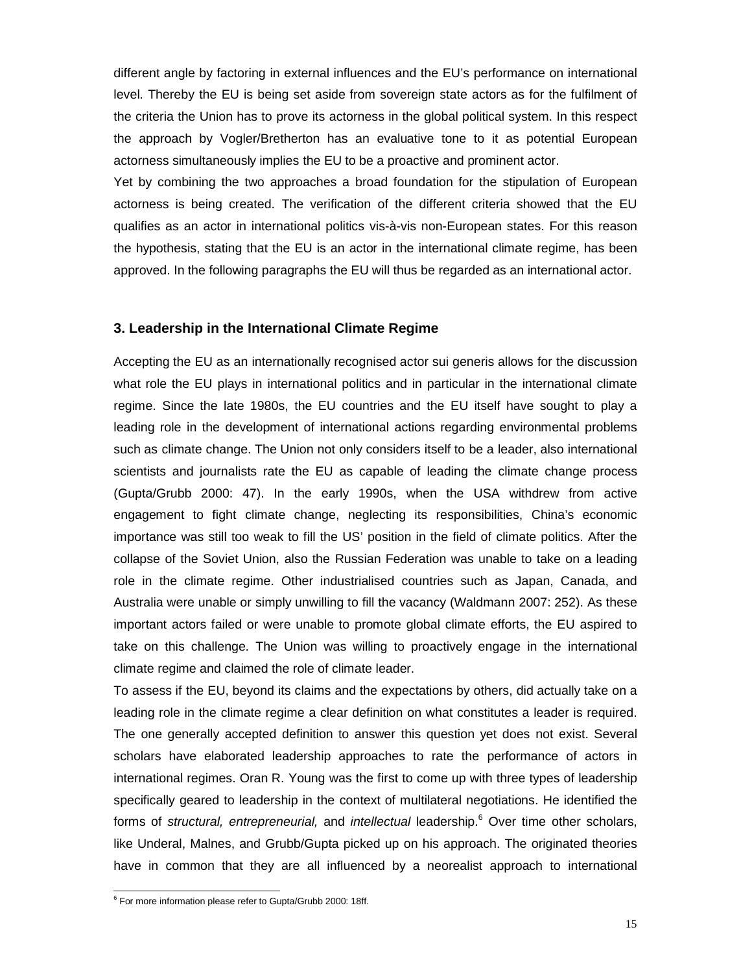different angle by factoring in external influences and the EU's performance on international level. Thereby the EU is being set aside from sovereign state actors as for the fulfilment of the criteria the Union has to prove its actorness in the global political system. In this respect the approach by Vogler/Bretherton has an evaluative tone to it as potential European actorness simultaneously implies the EU to be a proactive and prominent actor.

Yet by combining the two approaches a broad foundation for the stipulation of European actorness is being created. The verification of the different criteria showed that the EU qualifies as an actor in international politics vis-à-vis non-European states. For this reason the hypothesis, stating that the EU is an actor in the international climate regime, has been approved. In the following paragraphs the EU will thus be regarded as an international actor.

#### **3. Leadership in the International Climate Regime**

Accepting the EU as an internationally recognised actor sui generis allows for the discussion what role the EU plays in international politics and in particular in the international climate regime. Since the late 1980s, the EU countries and the EU itself have sought to play a leading role in the development of international actions regarding environmental problems such as climate change. The Union not only considers itself to be a leader, also international scientists and journalists rate the EU as capable of leading the climate change process (Gupta/Grubb 2000: 47). In the early 1990s, when the USA withdrew from active engagement to fight climate change, neglecting its responsibilities, China's economic importance was still too weak to fill the US' position in the field of climate politics. After the collapse of the Soviet Union, also the Russian Federation was unable to take on a leading role in the climate regime. Other industrialised countries such as Japan, Canada, and Australia were unable or simply unwilling to fill the vacancy (Waldmann 2007: 252). As these important actors failed or were unable to promote global climate efforts, the EU aspired to take on this challenge. The Union was willing to proactively engage in the international climate regime and claimed the role of climate leader.

To assess if the EU, beyond its claims and the expectations by others, did actually take on a leading role in the climate regime a clear definition on what constitutes a leader is required. The one generally accepted definition to answer this question yet does not exist. Several scholars have elaborated leadership approaches to rate the performance of actors in international regimes. Oran R. Young was the first to come up with three types of leadership specifically geared to leadership in the context of multilateral negotiations. He identified the forms of *structural, entrepreneurial,* and *intellectual* leadership.<sup>6</sup> Over time other scholars, like Underal, Malnes, and Grubb/Gupta picked up on his approach. The originated theories have in common that they are all influenced by a neorealist approach to international

 $\overline{a}$ 

 $6$  For more information please refer to Gupta/Grubb 2000: 18ff.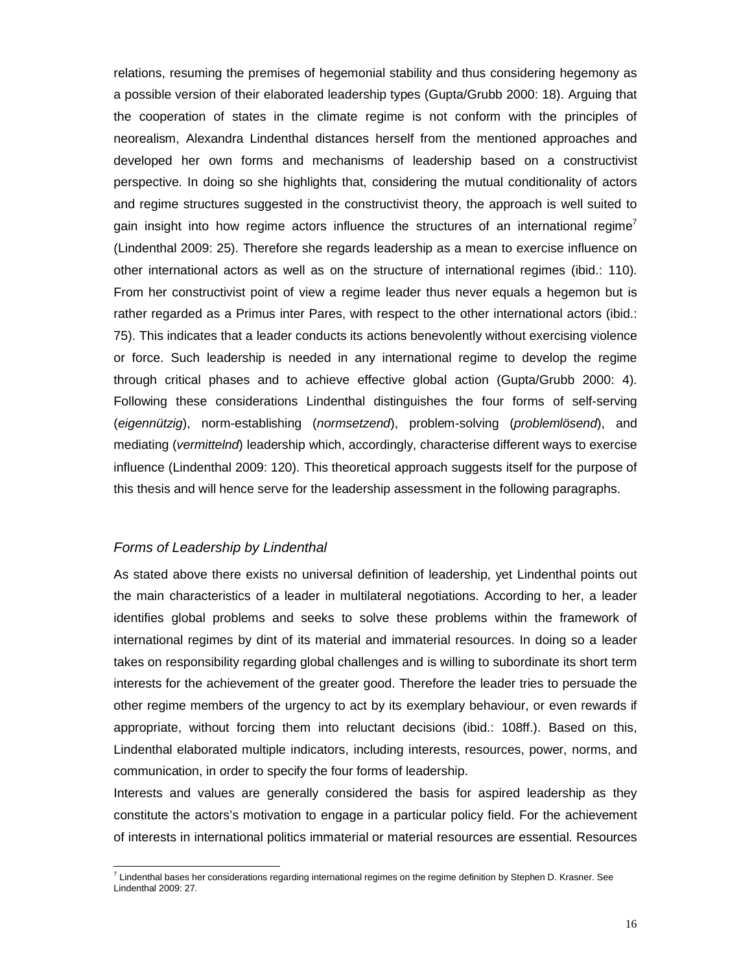relations, resuming the premises of hegemonial stability and thus considering hegemony as a possible version of their elaborated leadership types (Gupta/Grubb 2000: 18). Arguing that the cooperation of states in the climate regime is not conform with the principles of neorealism, Alexandra Lindenthal distances herself from the mentioned approaches and developed her own forms and mechanisms of leadership based on a constructivist perspective. In doing so she highlights that, considering the mutual conditionality of actors and regime structures suggested in the constructivist theory, the approach is well suited to gain insight into how regime actors influence the structures of an international regime<sup>7</sup> (Lindenthal 2009: 25). Therefore she regards leadership as a mean to exercise influence on other international actors as well as on the structure of international regimes (ibid.: 110). From her constructivist point of view a regime leader thus never equals a hegemon but is rather regarded as a Primus inter Pares, with respect to the other international actors (ibid.: 75). This indicates that a leader conducts its actions benevolently without exercising violence or force. Such leadership is needed in any international regime to develop the regime through critical phases and to achieve effective global action (Gupta/Grubb 2000: 4). Following these considerations Lindenthal distinguishes the four forms of self-serving (*eigennützig*), norm-establishing (*normsetzend*), problem-solving (*problemlösend*), and mediating (*vermittelnd*) leadership which, accordingly, characterise different ways to exercise influence (Lindenthal 2009: 120). This theoretical approach suggests itself for the purpose of this thesis and will hence serve for the leadership assessment in the following paragraphs.

### *Forms of Leadership by Lindenthal*

l

As stated above there exists no universal definition of leadership, yet Lindenthal points out the main characteristics of a leader in multilateral negotiations. According to her, a leader identifies global problems and seeks to solve these problems within the framework of international regimes by dint of its material and immaterial resources. In doing so a leader takes on responsibility regarding global challenges and is willing to subordinate its short term interests for the achievement of the greater good. Therefore the leader tries to persuade the other regime members of the urgency to act by its exemplary behaviour, or even rewards if appropriate, without forcing them into reluctant decisions (ibid.: 108ff.). Based on this, Lindenthal elaborated multiple indicators, including interests, resources, power, norms, and communication, in order to specify the four forms of leadership.

Interests and values are generally considered the basis for aspired leadership as they constitute the actors's motivation to engage in a particular policy field. For the achievement of interests in international politics immaterial or material resources are essential. Resources

 $^7$  Lindenthal bases her considerations regarding international regimes on the regime definition by Stephen D. Krasner. See Lindenthal 2009: 27.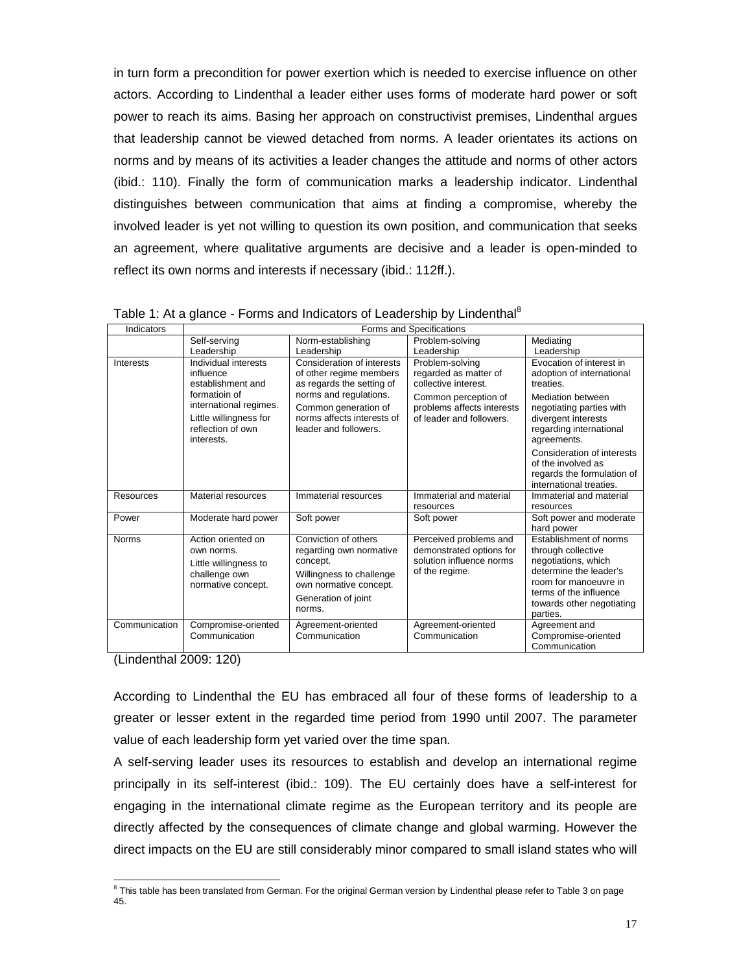in turn form a precondition for power exertion which is needed to exercise influence on other actors. According to Lindenthal a leader either uses forms of moderate hard power or soft power to reach its aims. Basing her approach on constructivist premises, Lindenthal argues that leadership cannot be viewed detached from norms. A leader orientates its actions on norms and by means of its activities a leader changes the attitude and norms of other actors (ibid.: 110). Finally the form of communication marks a leadership indicator. Lindenthal distinguishes between communication that aims at finding a compromise, whereby the involved leader is yet not willing to question its own position, and communication that seeks an agreement, where qualitative arguments are decisive and a leader is open-minded to reflect its own norms and interests if necessary (ibid.: 112ff.).

| Indicators       |                                                                                                                                                                |                                                                                                                                                                                             | Forms and Specifications                                                                                                                           |                                                                                                                                                                                                                           |
|------------------|----------------------------------------------------------------------------------------------------------------------------------------------------------------|---------------------------------------------------------------------------------------------------------------------------------------------------------------------------------------------|----------------------------------------------------------------------------------------------------------------------------------------------------|---------------------------------------------------------------------------------------------------------------------------------------------------------------------------------------------------------------------------|
|                  | Self-serving                                                                                                                                                   | Norm-establishing                                                                                                                                                                           | Problem-solving                                                                                                                                    | Mediating                                                                                                                                                                                                                 |
|                  | Leadership                                                                                                                                                     | Leadership                                                                                                                                                                                  | Leadership                                                                                                                                         | Leadership                                                                                                                                                                                                                |
| <b>Interests</b> | Individual interests<br>influence<br>establishment and<br>formatioin of<br>international regimes.<br>Little willingness for<br>reflection of own<br>interests. | Consideration of interests<br>of other regime members<br>as regards the setting of<br>norms and regulations.<br>Common generation of<br>norms affects interests of<br>leader and followers. | Problem-solving<br>regarded as matter of<br>collective interest.<br>Common perception of<br>problems affects interests<br>of leader and followers. | Evocation of interest in<br>adoption of international<br>treaties.<br><b>Mediation between</b><br>negotiating parties with<br>divergent interests<br>regarding international<br>agreements.<br>Consideration of interests |
|                  |                                                                                                                                                                |                                                                                                                                                                                             |                                                                                                                                                    | of the involved as<br>regards the formulation of<br>international treaties.                                                                                                                                               |
| <b>Resources</b> | Material resources                                                                                                                                             | Immaterial resources                                                                                                                                                                        | Immaterial and material<br>resources                                                                                                               | Immaterial and material<br>resources                                                                                                                                                                                      |
| Power            | Moderate hard power                                                                                                                                            | Soft power                                                                                                                                                                                  | Soft power                                                                                                                                         | Soft power and moderate<br>hard power                                                                                                                                                                                     |
| <b>Norms</b>     | Action oriented on<br>own norms.<br>Little willingness to<br>challenge own<br>normative concept.                                                               | Conviction of others<br>regarding own normative<br>concept.<br>Willingness to challenge<br>own normative concept.<br>Generation of joint<br>norms.                                          | Perceived problems and<br>demonstrated options for<br>solution influence norms<br>of the regime.                                                   | Establishment of norms<br>through collective<br>negotiations, which<br>determine the leader's<br>room for manoeuvre in<br>terms of the influence<br>towards other negotiating<br>parties.                                 |
| Communication    | Compromise-oriented<br>Communication                                                                                                                           | Agreement-oriented<br>Communication                                                                                                                                                         | Agreement-oriented<br>Communication                                                                                                                | Agreement and<br>Compromise-oriented<br>Communication                                                                                                                                                                     |

Table 1: At a glance - Forms and Indicators of Leadership by Lindenthal<sup>8</sup>

(Lindenthal 2009: 120)

According to Lindenthal the EU has embraced all four of these forms of leadership to a greater or lesser extent in the regarded time period from 1990 until 2007. The parameter value of each leadership form yet varied over the time span.

A self-serving leader uses its resources to establish and develop an international regime principally in its self-interest (ibid.: 109). The EU certainly does have a self-interest for engaging in the international climate regime as the European territory and its people are directly affected by the consequences of climate change and global warming. However the direct impacts on the EU are still considerably minor compared to small island states who will

l <sup>8</sup> This table has been translated from German. For the original German version by Lindenthal please refer to Table 3 on page 45.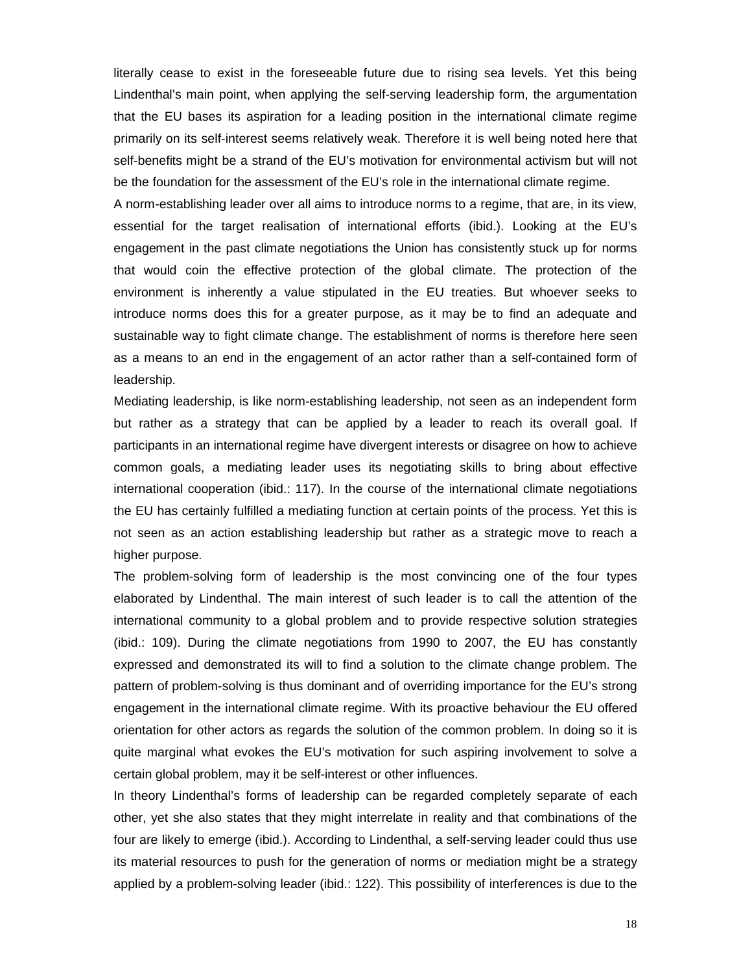literally cease to exist in the foreseeable future due to rising sea levels. Yet this being Lindenthal's main point, when applying the self-serving leadership form, the argumentation that the EU bases its aspiration for a leading position in the international climate regime primarily on its self-interest seems relatively weak. Therefore it is well being noted here that self-benefits might be a strand of the EU's motivation for environmental activism but will not be the foundation for the assessment of the EU's role in the international climate regime.

A norm-establishing leader over all aims to introduce norms to a regime, that are, in its view, essential for the target realisation of international efforts (ibid.). Looking at the EU's engagement in the past climate negotiations the Union has consistently stuck up for norms that would coin the effective protection of the global climate. The protection of the environment is inherently a value stipulated in the EU treaties. But whoever seeks to introduce norms does this for a greater purpose, as it may be to find an adequate and sustainable way to fight climate change. The establishment of norms is therefore here seen as a means to an end in the engagement of an actor rather than a self-contained form of leadership.

Mediating leadership, is like norm-establishing leadership, not seen as an independent form but rather as a strategy that can be applied by a leader to reach its overall goal. If participants in an international regime have divergent interests or disagree on how to achieve common goals, a mediating leader uses its negotiating skills to bring about effective international cooperation (ibid.: 117). In the course of the international climate negotiations the EU has certainly fulfilled a mediating function at certain points of the process. Yet this is not seen as an action establishing leadership but rather as a strategic move to reach a higher purpose.

The problem-solving form of leadership is the most convincing one of the four types elaborated by Lindenthal. The main interest of such leader is to call the attention of the international community to a global problem and to provide respective solution strategies (ibid.: 109). During the climate negotiations from 1990 to 2007, the EU has constantly expressed and demonstrated its will to find a solution to the climate change problem. The pattern of problem-solving is thus dominant and of overriding importance for the EU's strong engagement in the international climate regime. With its proactive behaviour the EU offered orientation for other actors as regards the solution of the common problem. In doing so it is quite marginal what evokes the EU's motivation for such aspiring involvement to solve a certain global problem, may it be self-interest or other influences.

In theory Lindenthal's forms of leadership can be regarded completely separate of each other, yet she also states that they might interrelate in reality and that combinations of the four are likely to emerge (ibid.). According to Lindenthal, a self-serving leader could thus use its material resources to push for the generation of norms or mediation might be a strategy applied by a problem-solving leader (ibid.: 122). This possibility of interferences is due to the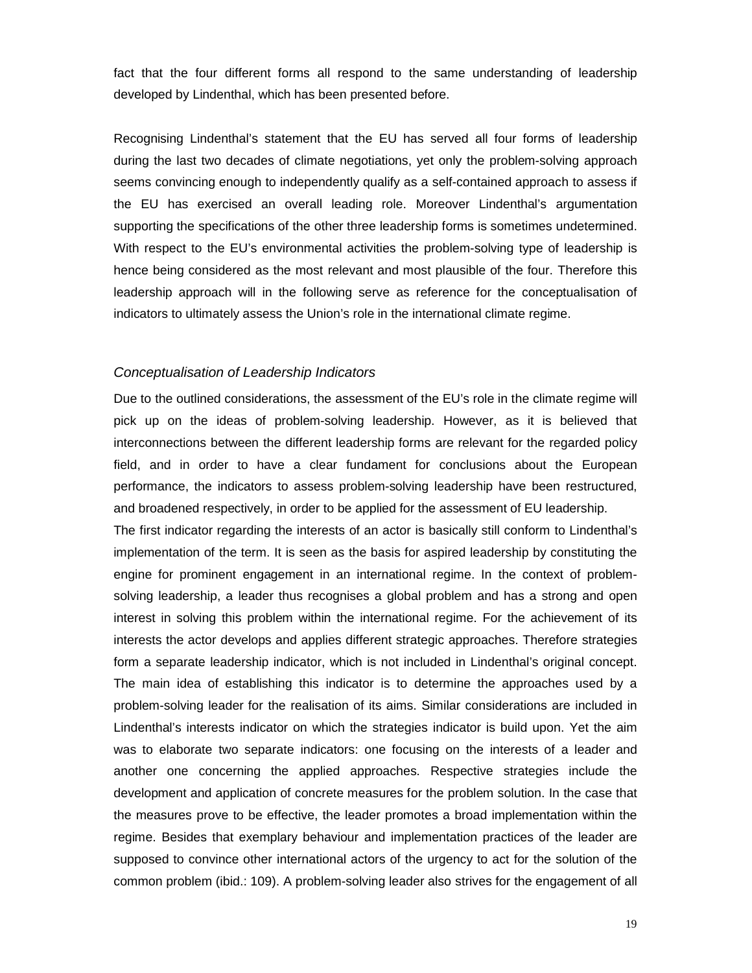fact that the four different forms all respond to the same understanding of leadership developed by Lindenthal, which has been presented before.

Recognising Lindenthal's statement that the EU has served all four forms of leadership during the last two decades of climate negotiations, yet only the problem-solving approach seems convincing enough to independently qualify as a self-contained approach to assess if the EU has exercised an overall leading role. Moreover Lindenthal's argumentation supporting the specifications of the other three leadership forms is sometimes undetermined. With respect to the EU's environmental activities the problem-solving type of leadership is hence being considered as the most relevant and most plausible of the four. Therefore this leadership approach will in the following serve as reference for the conceptualisation of indicators to ultimately assess the Union's role in the international climate regime.

#### *Conceptualisation of Leadership Indicators*

Due to the outlined considerations, the assessment of the EU's role in the climate regime will pick up on the ideas of problem-solving leadership. However, as it is believed that interconnections between the different leadership forms are relevant for the regarded policy field, and in order to have a clear fundament for conclusions about the European performance, the indicators to assess problem-solving leadership have been restructured, and broadened respectively, in order to be applied for the assessment of EU leadership.

The first indicator regarding the interests of an actor is basically still conform to Lindenthal's implementation of the term. It is seen as the basis for aspired leadership by constituting the engine for prominent engagement in an international regime. In the context of problemsolving leadership, a leader thus recognises a global problem and has a strong and open interest in solving this problem within the international regime. For the achievement of its interests the actor develops and applies different strategic approaches. Therefore strategies form a separate leadership indicator, which is not included in Lindenthal's original concept. The main idea of establishing this indicator is to determine the approaches used by a problem-solving leader for the realisation of its aims. Similar considerations are included in Lindenthal's interests indicator on which the strategies indicator is build upon. Yet the aim was to elaborate two separate indicators: one focusing on the interests of a leader and another one concerning the applied approaches. Respective strategies include the development and application of concrete measures for the problem solution. In the case that the measures prove to be effective, the leader promotes a broad implementation within the regime. Besides that exemplary behaviour and implementation practices of the leader are supposed to convince other international actors of the urgency to act for the solution of the common problem (ibid.: 109). A problem-solving leader also strives for the engagement of all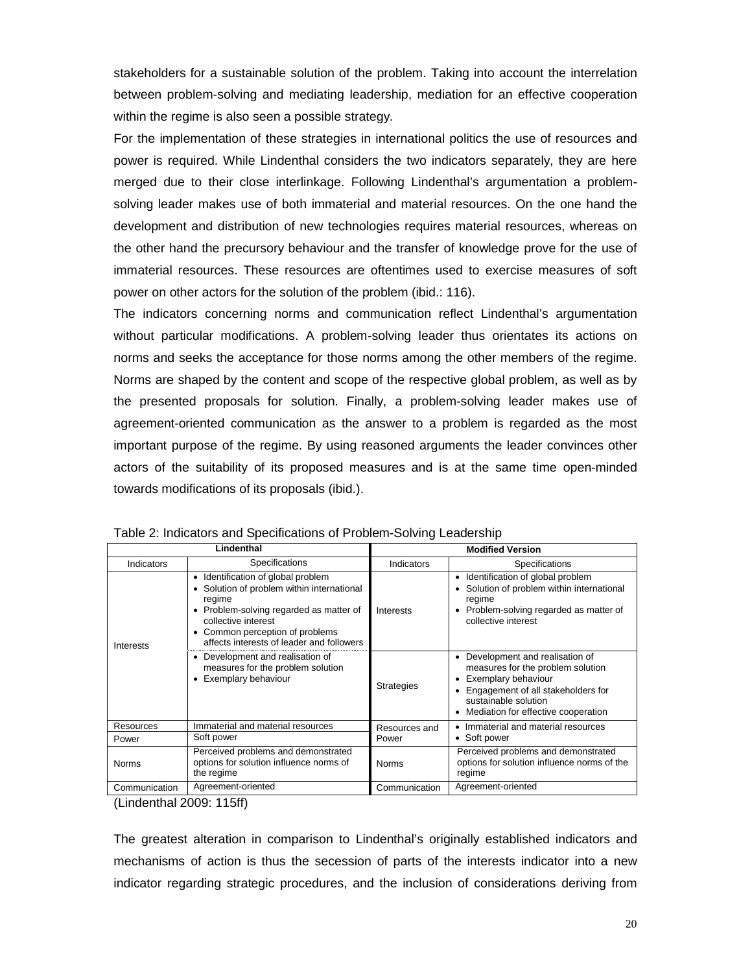stakeholders for a sustainable solution of the problem. Taking into account the interrelation between problem-solving and mediating leadership, mediation for an effective cooperation within the regime is also seen a possible strategy.

For the implementation of these strategies in international politics the use of resources and power is required. While Lindenthal considers the two indicators separately, they are here merged due to their close interlinkage. Following Lindenthal's argumentation a problemsolving leader makes use of both immaterial and material resources. On the one hand the development and distribution of new technologies requires material resources, whereas on the other hand the precursory behaviour and the transfer of knowledge prove for the use of immaterial resources. These resources are oftentimes used to exercise measures of soft power on other actors for the solution of the problem (ibid.: 116).

The indicators concerning norms and communication reflect Lindenthal's argumentation without particular modifications. A problem-solving leader thus orientates its actions on norms and seeks the acceptance for those norms among the other members of the regime. Norms are shaped by the content and scope of the respective global problem, as well as by the presented proposals for solution. Finally, a problem-solving leader makes use of agreement-oriented communication as the answer to a problem is regarded as the most important purpose of the regime. By using reasoned arguments the leader convinces other actors of the suitability of its proposed measures and is at the same time open-minded towards modifications of its proposals (ibid.).

|                  | Lindenthal                                                                                                                                                                                                                             |                   | <b>Modified Version</b>                                                                                                                                                                                      |
|------------------|----------------------------------------------------------------------------------------------------------------------------------------------------------------------------------------------------------------------------------------|-------------------|--------------------------------------------------------------------------------------------------------------------------------------------------------------------------------------------------------------|
| Indicators       | Specifications                                                                                                                                                                                                                         | Indicators        | Specifications                                                                                                                                                                                               |
| <b>Interests</b> | • Identification of global problem<br>Solution of problem within international<br>regime<br>Problem-solving regarded as matter of<br>collective interest<br>Common perception of problems<br>affects interests of leader and followers | Interests         | Identification of global problem<br>٠<br>Solution of problem within international<br>regime<br>Problem-solving regarded as matter of<br>collective interest                                                  |
|                  | Development and realisation of<br>$\bullet$<br>measures for the problem solution<br>Exemplary behaviour                                                                                                                                | <b>Strategies</b> | Development and realisation of<br>$\bullet$<br>measures for the problem solution<br>Exemplary behaviour<br>Engagement of all stakeholders for<br>sustainable solution<br>Mediation for effective cooperation |
| Resources        | Immaterial and material resources                                                                                                                                                                                                      | Resources and     | Immaterial and material resources                                                                                                                                                                            |
| Power            | Soft power                                                                                                                                                                                                                             | Power             | • Soft power                                                                                                                                                                                                 |
| <b>Norms</b>     | Perceived problems and demonstrated<br>options for solution influence norms of<br>the regime                                                                                                                                           | <b>Norms</b>      | Perceived problems and demonstrated<br>options for solution influence norms of the<br>regime                                                                                                                 |
| Communication    | Agreement-oriented                                                                                                                                                                                                                     | Communication     | Agreement-oriented                                                                                                                                                                                           |

(Lindenthal 2009: 115ff)

The greatest alteration in comparison to Lindenthal's originally established indicators and mechanisms of action is thus the secession of parts of the interests indicator into a new indicator regarding strategic procedures, and the inclusion of considerations deriving from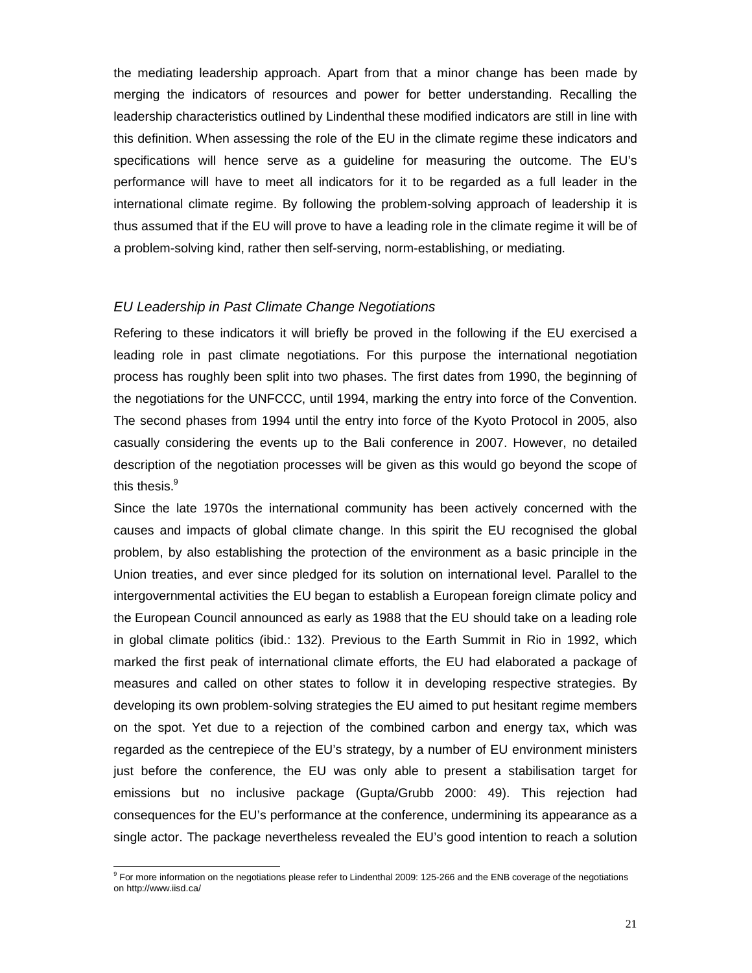the mediating leadership approach. Apart from that a minor change has been made by merging the indicators of resources and power for better understanding. Recalling the leadership characteristics outlined by Lindenthal these modified indicators are still in line with this definition. When assessing the role of the EU in the climate regime these indicators and specifications will hence serve as a guideline for measuring the outcome. The EU's performance will have to meet all indicators for it to be regarded as a full leader in the international climate regime. By following the problem-solving approach of leadership it is thus assumed that if the EU will prove to have a leading role in the climate regime it will be of a problem-solving kind, rather then self-serving, norm-establishing, or mediating.

### *EU Leadership in Past Climate Change Negotiations*

Refering to these indicators it will briefly be proved in the following if the EU exercised a leading role in past climate negotiations. For this purpose the international negotiation process has roughly been split into two phases. The first dates from 1990, the beginning of the negotiations for the UNFCCC, until 1994, marking the entry into force of the Convention. The second phases from 1994 until the entry into force of the Kyoto Protocol in 2005, also casually considering the events up to the Bali conference in 2007. However, no detailed description of the negotiation processes will be given as this would go beyond the scope of this thesis.<sup>9</sup>

Since the late 1970s the international community has been actively concerned with the causes and impacts of global climate change. In this spirit the EU recognised the global problem, by also establishing the protection of the environment as a basic principle in the Union treaties, and ever since pledged for its solution on international level. Parallel to the intergovernmental activities the EU began to establish a European foreign climate policy and the European Council announced as early as 1988 that the EU should take on a leading role in global climate politics (ibid.: 132). Previous to the Earth Summit in Rio in 1992, which marked the first peak of international climate efforts, the EU had elaborated a package of measures and called on other states to follow it in developing respective strategies. By developing its own problem-solving strategies the EU aimed to put hesitant regime members on the spot. Yet due to a rejection of the combined carbon and energy tax, which was regarded as the centrepiece of the EU's strategy, by a number of EU environment ministers just before the conference, the EU was only able to present a stabilisation target for emissions but no inclusive package (Gupta/Grubb 2000: 49). This rejection had consequences for the EU's performance at the conference, undermining its appearance as a single actor. The package nevertheless revealed the EU's good intention to reach a solution

l

<sup>&</sup>lt;sup>9</sup> For more information on the negotiations please refer to Lindenthal 2009: 125-266 and the ENB coverage of the negotiations on http://www.iisd.ca/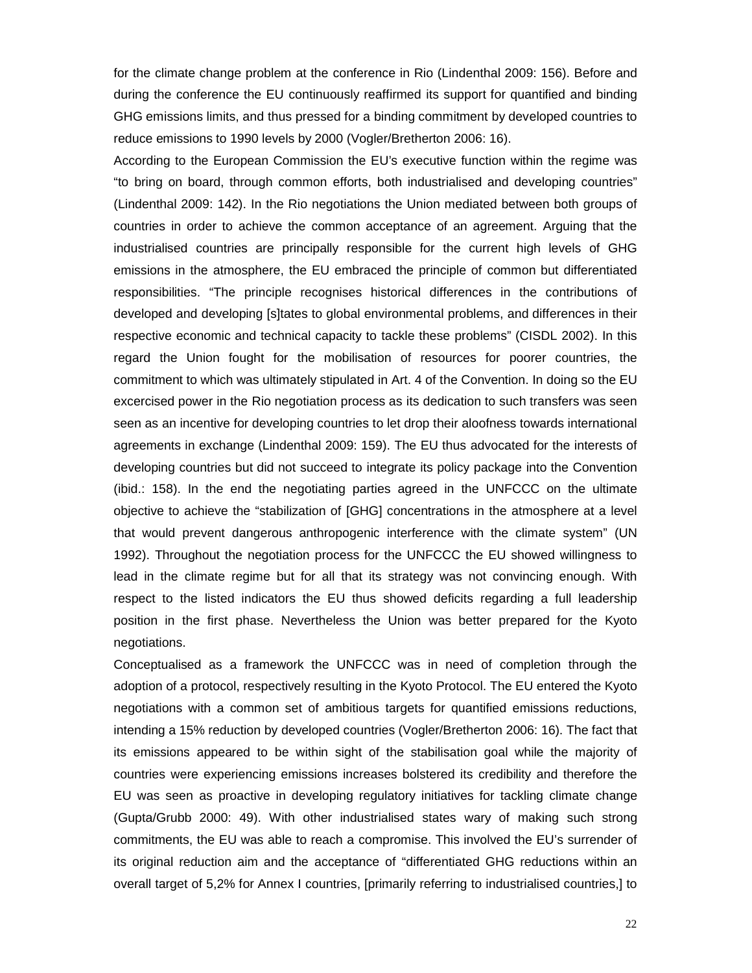for the climate change problem at the conference in Rio (Lindenthal 2009: 156). Before and during the conference the EU continuously reaffirmed its support for quantified and binding GHG emissions limits, and thus pressed for a binding commitment by developed countries to reduce emissions to 1990 levels by 2000 (Vogler/Bretherton 2006: 16).

According to the European Commission the EU's executive function within the regime was "to bring on board, through common efforts, both industrialised and developing countries" (Lindenthal 2009: 142). In the Rio negotiations the Union mediated between both groups of countries in order to achieve the common acceptance of an agreement. Arguing that the industrialised countries are principally responsible for the current high levels of GHG emissions in the atmosphere, the EU embraced the principle of common but differentiated responsibilities. "The principle recognises historical differences in the contributions of developed and developing [s]tates to global environmental problems, and differences in their respective economic and technical capacity to tackle these problems" (CISDL 2002). In this regard the Union fought for the mobilisation of resources for poorer countries, the commitment to which was ultimately stipulated in Art. 4 of the Convention. In doing so the EU excercised power in the Rio negotiation process as its dedication to such transfers was seen seen as an incentive for developing countries to let drop their aloofness towards international agreements in exchange (Lindenthal 2009: 159). The EU thus advocated for the interests of developing countries but did not succeed to integrate its policy package into the Convention (ibid.: 158). In the end the negotiating parties agreed in the UNFCCC on the ultimate objective to achieve the "stabilization of [GHG] concentrations in the atmosphere at a level that would prevent dangerous anthropogenic interference with the climate system" (UN 1992). Throughout the negotiation process for the UNFCCC the EU showed willingness to lead in the climate regime but for all that its strategy was not convincing enough. With respect to the listed indicators the EU thus showed deficits regarding a full leadership position in the first phase. Nevertheless the Union was better prepared for the Kyoto negotiations.

Conceptualised as a framework the UNFCCC was in need of completion through the adoption of a protocol, respectively resulting in the Kyoto Protocol. The EU entered the Kyoto negotiations with a common set of ambitious targets for quantified emissions reductions, intending a 15% reduction by developed countries (Vogler/Bretherton 2006: 16). The fact that its emissions appeared to be within sight of the stabilisation goal while the majority of countries were experiencing emissions increases bolstered its credibility and therefore the EU was seen as proactive in developing regulatory initiatives for tackling climate change (Gupta/Grubb 2000: 49). With other industrialised states wary of making such strong commitments, the EU was able to reach a compromise. This involved the EU's surrender of its original reduction aim and the acceptance of "differentiated GHG reductions within an overall target of 5,2% for Annex I countries, [primarily referring to industrialised countries,] to

22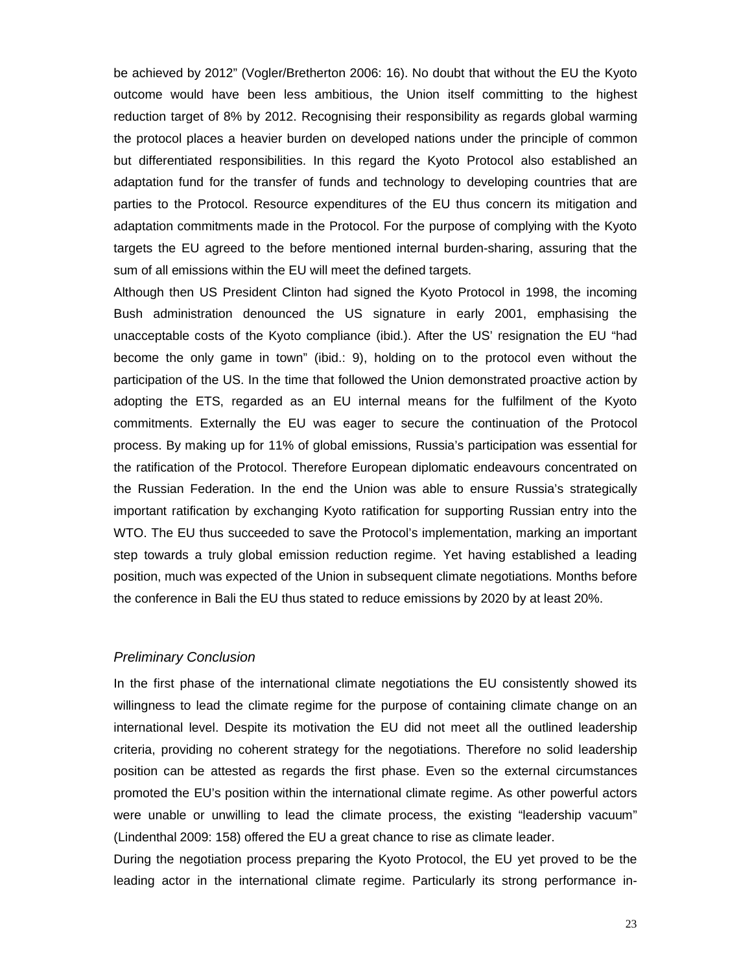be achieved by 2012" (Vogler/Bretherton 2006: 16). No doubt that without the EU the Kyoto outcome would have been less ambitious, the Union itself committing to the highest reduction target of 8% by 2012. Recognising their responsibility as regards global warming the protocol places a heavier burden on developed nations under the principle of common but differentiated responsibilities. In this regard the Kyoto Protocol also established an adaptation fund for the transfer of funds and technology to developing countries that are parties to the Protocol. Resource expenditures of the EU thus concern its mitigation and adaptation commitments made in the Protocol. For the purpose of complying with the Kyoto targets the EU agreed to the before mentioned internal burden-sharing, assuring that the sum of all emissions within the EU will meet the defined targets.

Although then US President Clinton had signed the Kyoto Protocol in 1998, the incoming Bush administration denounced the US signature in early 2001, emphasising the unacceptable costs of the Kyoto compliance (ibid.). After the US' resignation the EU "had become the only game in town" (ibid.: 9), holding on to the protocol even without the participation of the US. In the time that followed the Union demonstrated proactive action by adopting the ETS, regarded as an EU internal means for the fulfilment of the Kyoto commitments. Externally the EU was eager to secure the continuation of the Protocol process. By making up for 11% of global emissions, Russia's participation was essential for the ratification of the Protocol. Therefore European diplomatic endeavours concentrated on the Russian Federation. In the end the Union was able to ensure Russia's strategically important ratification by exchanging Kyoto ratification for supporting Russian entry into the WTO. The EU thus succeeded to save the Protocol's implementation, marking an important step towards a truly global emission reduction regime. Yet having established a leading position, much was expected of the Union in subsequent climate negotiations. Months before the conference in Bali the EU thus stated to reduce emissions by 2020 by at least 20%.

# *Preliminary Conclusion*

In the first phase of the international climate negotiations the EU consistently showed its willingness to lead the climate regime for the purpose of containing climate change on an international level. Despite its motivation the EU did not meet all the outlined leadership criteria, providing no coherent strategy for the negotiations. Therefore no solid leadership position can be attested as regards the first phase. Even so the external circumstances promoted the EU's position within the international climate regime. As other powerful actors were unable or unwilling to lead the climate process, the existing "leadership vacuum" (Lindenthal 2009: 158) offered the EU a great chance to rise as climate leader.

During the negotiation process preparing the Kyoto Protocol, the EU yet proved to be the leading actor in the international climate regime. Particularly its strong performance in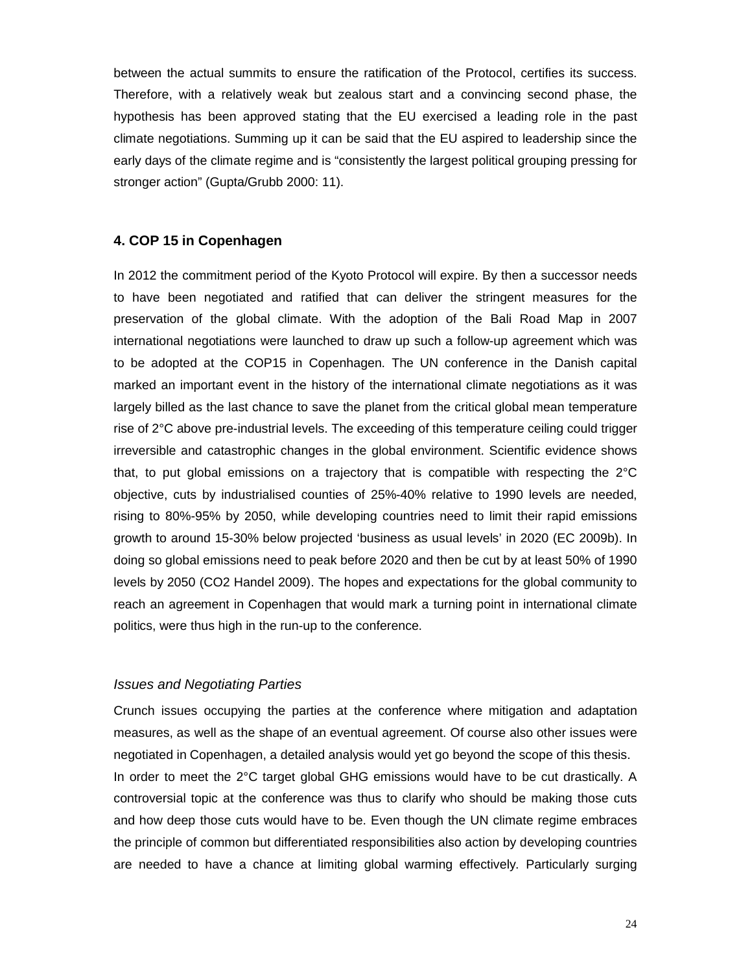between the actual summits to ensure the ratification of the Protocol, certifies its success. Therefore, with a relatively weak but zealous start and a convincing second phase, the hypothesis has been approved stating that the EU exercised a leading role in the past climate negotiations. Summing up it can be said that the EU aspired to leadership since the early days of the climate regime and is "consistently the largest political grouping pressing for stronger action" (Gupta/Grubb 2000: 11).

#### **4. COP 15 in Copenhagen**

In 2012 the commitment period of the Kyoto Protocol will expire. By then a successor needs to have been negotiated and ratified that can deliver the stringent measures for the preservation of the global climate. With the adoption of the Bali Road Map in 2007 international negotiations were launched to draw up such a follow-up agreement which was to be adopted at the COP15 in Copenhagen. The UN conference in the Danish capital marked an important event in the history of the international climate negotiations as it was largely billed as the last chance to save the planet from the critical global mean temperature rise of 2°C above pre-industrial levels. The exceeding of this temperature ceiling could trigger irreversible and catastrophic changes in the global environment. Scientific evidence shows that, to put global emissions on a trajectory that is compatible with respecting the 2°C objective, cuts by industrialised counties of 25%-40% relative to 1990 levels are needed, rising to 80%-95% by 2050, while developing countries need to limit their rapid emissions growth to around 15-30% below projected 'business as usual levels' in 2020 (EC 2009b). In doing so global emissions need to peak before 2020 and then be cut by at least 50% of 1990 levels by 2050 (CO2 Handel 2009). The hopes and expectations for the global community to reach an agreement in Copenhagen that would mark a turning point in international climate politics, were thus high in the run-up to the conference.

### *Issues and Negotiating Parties*

Crunch issues occupying the parties at the conference where mitigation and adaptation measures, as well as the shape of an eventual agreement. Of course also other issues were negotiated in Copenhagen, a detailed analysis would yet go beyond the scope of this thesis. In order to meet the 2°C target global GHG emissions would have to be cut drastically. A controversial topic at the conference was thus to clarify who should be making those cuts and how deep those cuts would have to be. Even though the UN climate regime embraces the principle of common but differentiated responsibilities also action by developing countries are needed to have a chance at limiting global warming effectively. Particularly surging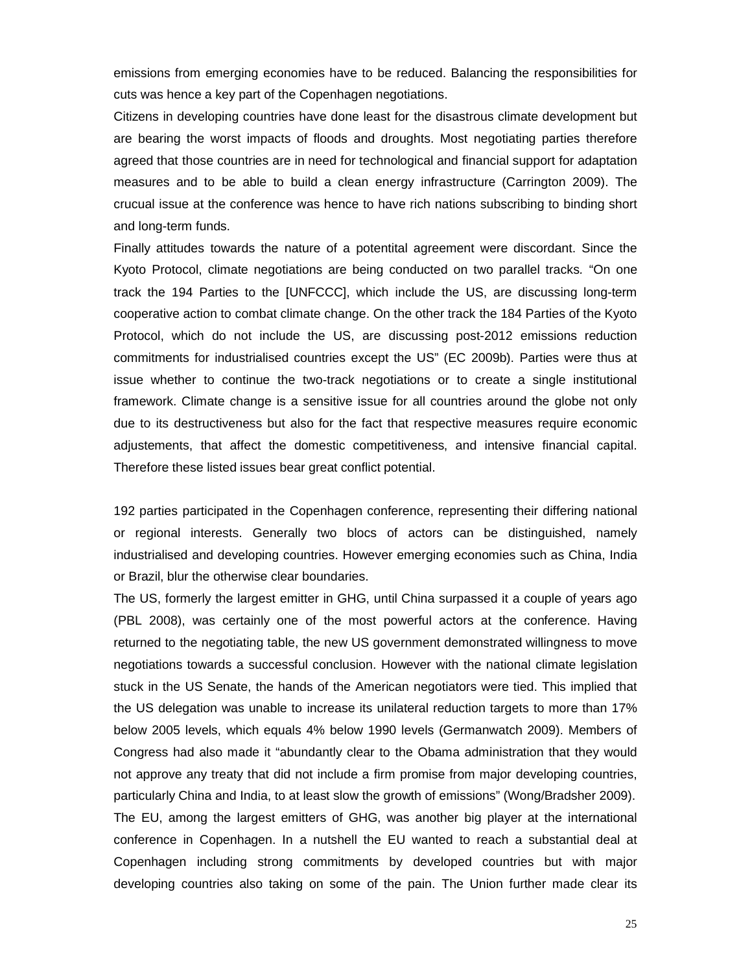emissions from emerging economies have to be reduced. Balancing the responsibilities for cuts was hence a key part of the Copenhagen negotiations.

Citizens in developing countries have done least for the disastrous climate development but are bearing the worst impacts of floods and droughts. Most negotiating parties therefore agreed that those countries are in need for technological and financial support for adaptation measures and to be able to build a clean energy infrastructure (Carrington 2009). The crucual issue at the conference was hence to have rich nations subscribing to binding short and long-term funds.

Finally attitudes towards the nature of a potentital agreement were discordant. Since the Kyoto Protocol, climate negotiations are being conducted on two parallel tracks*.* "On one track the 194 Parties to the [UNFCCC], which include the US, are discussing long-term cooperative action to combat climate change. On the other track the 184 Parties of the Kyoto Protocol, which do not include the US, are discussing post-2012 emissions reduction commitments for industrialised countries except the US" (EC 2009b). Parties were thus at issue whether to continue the two-track negotiations or to create a single institutional framework. Climate change is a sensitive issue for all countries around the globe not only due to its destructiveness but also for the fact that respective measures require economic adjustements, that affect the domestic competitiveness, and intensive financial capital. Therefore these listed issues bear great conflict potential.

192 parties participated in the Copenhagen conference, representing their differing national or regional interests. Generally two blocs of actors can be distinguished, namely industrialised and developing countries. However emerging economies such as China, India or Brazil, blur the otherwise clear boundaries.

The US, formerly the largest emitter in GHG, until China surpassed it a couple of years ago (PBL 2008), was certainly one of the most powerful actors at the conference. Having returned to the negotiating table, the new US government demonstrated willingness to move negotiations towards a successful conclusion. However with the national climate legislation stuck in the US Senate, the hands of the American negotiators were tied. This implied that the US delegation was unable to increase its unilateral reduction targets to more than 17% below 2005 levels, which equals 4% below 1990 levels (Germanwatch 2009). Members of Congress had also made it "abundantly clear to the Obama administration that they would not approve any treaty that did not include a firm promise from major developing countries, particularly China and India, to at least slow the growth of emissions" (Wong/Bradsher 2009). The EU, among the largest emitters of GHG, was another big player at the international conference in Copenhagen. In a nutshell the EU wanted to reach a substantial deal at Copenhagen including strong commitments by developed countries but with major developing countries also taking on some of the pain. The Union further made clear its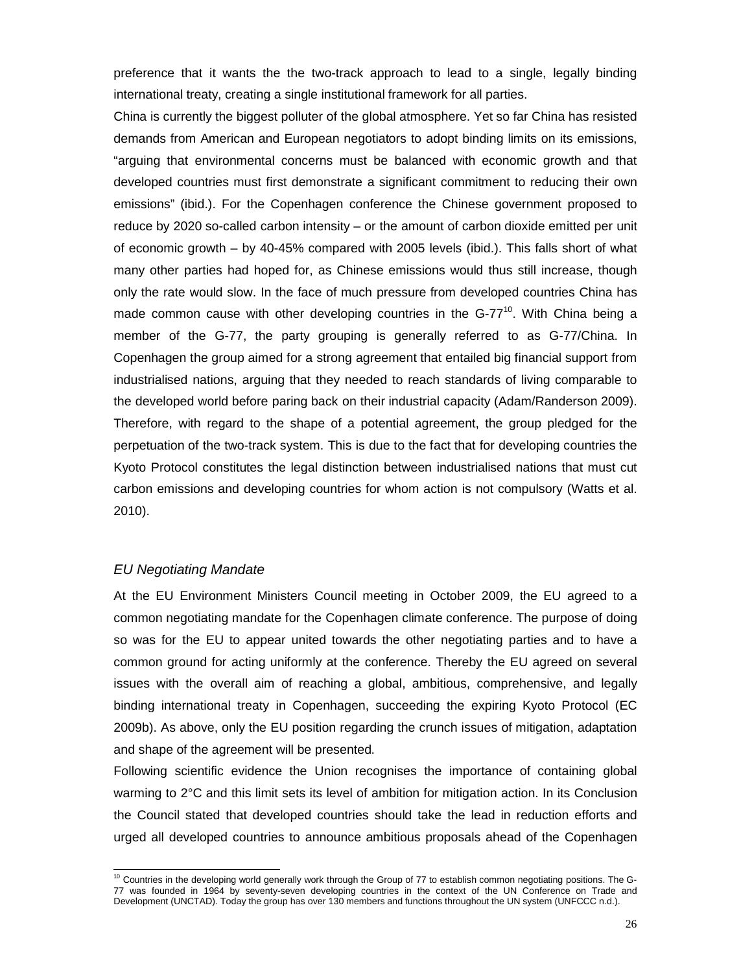preference that it wants the the two-track approach to lead to a single, legally binding international treaty, creating a single institutional framework for all parties.

China is currently the biggest polluter of the global atmosphere. Yet so far China has resisted demands from American and European negotiators to adopt binding limits on its emissions, "arguing that environmental concerns must be balanced with economic growth and that developed countries must first demonstrate a significant commitment to reducing their own emissions" (ibid.). For the Copenhagen conference the Chinese government proposed to reduce by 2020 so-called carbon intensity – or the amount of carbon dioxide emitted per unit of economic growth – by 40-45% compared with 2005 levels (ibid.). This falls short of what many other parties had hoped for, as Chinese emissions would thus still increase, though only the rate would slow. In the face of much pressure from developed countries China has made common cause with other developing countries in the  $G-77^{10}$ . With China being a member of the G-77, the party grouping is generally referred to as G-77/China. In Copenhagen the group aimed for a strong agreement that entailed big financial support from industrialised nations, arguing that they needed to reach standards of living comparable to the developed world before paring back on their industrial capacity (Adam/Randerson 2009). Therefore, with regard to the shape of a potential agreement, the group pledged for the perpetuation of the two-track system. This is due to the fact that for developing countries the Kyoto Protocol constitutes the legal distinction between industrialised nations that must cut carbon emissions and developing countries for whom action is not compulsory (Watts et al. 2010).

# *EU Negotiating Mandate*

 $\overline{a}$ 

At the EU Environment Ministers Council meeting in October 2009, the EU agreed to a common negotiating mandate for the Copenhagen climate conference. The purpose of doing so was for the EU to appear united towards the other negotiating parties and to have a common ground for acting uniformly at the conference. Thereby the EU agreed on several issues with the overall aim of reaching a global, ambitious, comprehensive, and legally binding international treaty in Copenhagen, succeeding the expiring Kyoto Protocol (EC 2009b). As above, only the EU position regarding the crunch issues of mitigation, adaptation and shape of the agreement will be presented.

Following scientific evidence the Union recognises the importance of containing global warming to 2°C and this limit sets its level of ambition for mitigation action. In its Conclusion the Council stated that developed countries should take the lead in reduction efforts and urged all developed countries to announce ambitious proposals ahead of the Copenhagen

<sup>&</sup>lt;sup>10</sup> Countries in the developing world generally work through the Group of 77 to establish common negotiating positions. The G-77 was founded in 1964 by seventy-seven developing countries in the context of the UN Conference on Trade and Development (UNCTAD). Today the group has over 130 members and functions throughout the UN system (UNFCCC n.d.).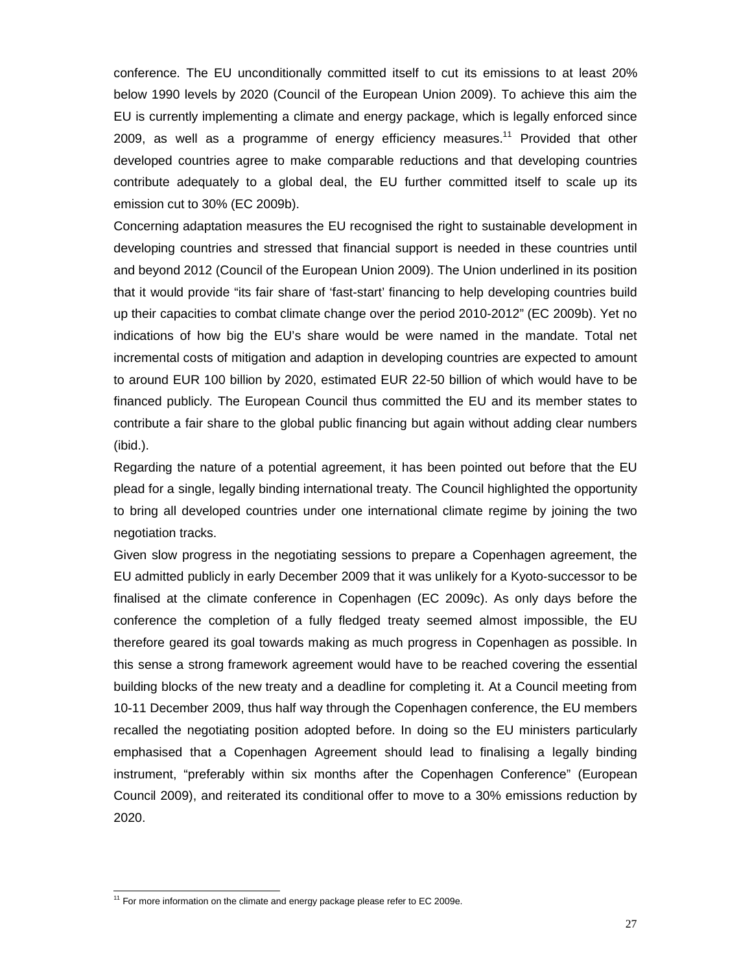conference. The EU unconditionally committed itself to cut its emissions to at least 20% below 1990 levels by 2020 (Council of the European Union 2009). To achieve this aim the EU is currently implementing a climate and energy package, which is legally enforced since 2009, as well as a programme of energy efficiency measures.<sup>11</sup> Provided that other developed countries agree to make comparable reductions and that developing countries contribute adequately to a global deal, the EU further committed itself to scale up its emission cut to 30% (EC 2009b).

Concerning adaptation measures the EU recognised the right to sustainable development in developing countries and stressed that financial support is needed in these countries until and beyond 2012 (Council of the European Union 2009). The Union underlined in its position that it would provide "its fair share of 'fast-start' financing to help developing countries build up their capacities to combat climate change over the period 2010-2012" (EC 2009b). Yet no indications of how big the EU's share would be were named in the mandate. Total net incremental costs of mitigation and adaption in developing countries are expected to amount to around EUR 100 billion by 2020, estimated EUR 22-50 billion of which would have to be financed publicly. The European Council thus committed the EU and its member states to contribute a fair share to the global public financing but again without adding clear numbers (ibid.).

Regarding the nature of a potential agreement, it has been pointed out before that the EU plead for a single, legally binding international treaty. The Council highlighted the opportunity to bring all developed countries under one international climate regime by joining the two negotiation tracks.

Given slow progress in the negotiating sessions to prepare a Copenhagen agreement, the EU admitted publicly in early December 2009 that it was unlikely for a Kyoto-successor to be finalised at the climate conference in Copenhagen (EC 2009c). As only days before the conference the completion of a fully fledged treaty seemed almost impossible, the EU therefore geared its goal towards making as much progress in Copenhagen as possible. In this sense a strong framework agreement would have to be reached covering the essential building blocks of the new treaty and a deadline for completing it. At a Council meeting from 10-11 December 2009, thus half way through the Copenhagen conference, the EU members recalled the negotiating position adopted before. In doing so the EU ministers particularly emphasised that a Copenhagen Agreement should lead to finalising a legally binding instrument, "preferably within six months after the Copenhagen Conference" (European Council 2009), and reiterated its conditional offer to move to a 30% emissions reduction by 2020.

 $\overline{a}$ 

 $11$  For more information on the climate and energy package please refer to EC 2009e.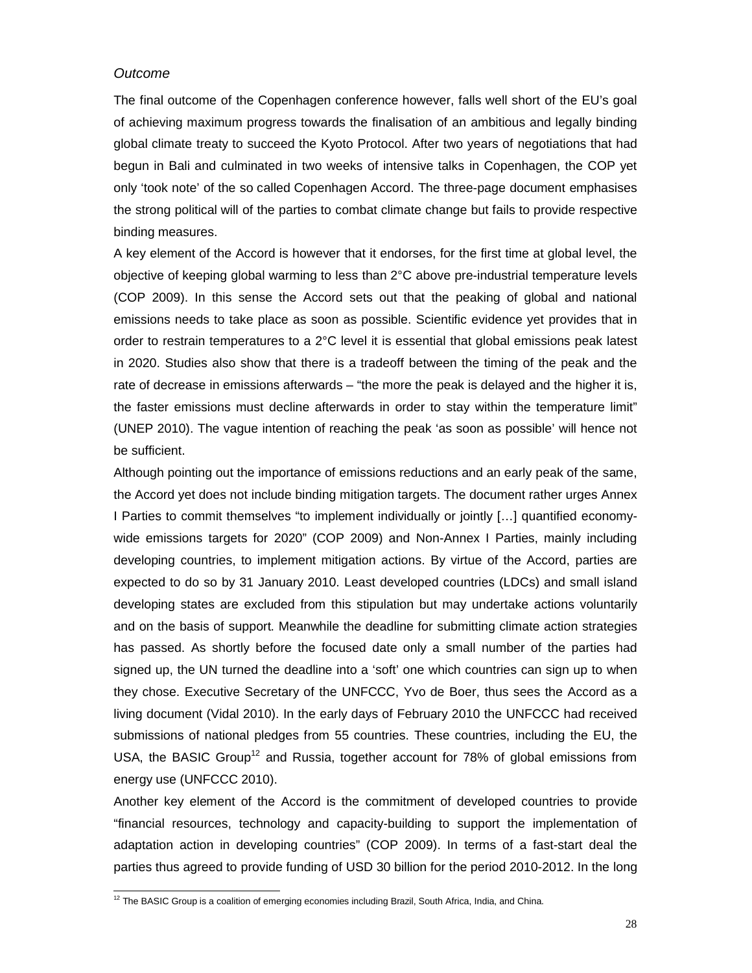### *Outcome*

 $\overline{a}$ 

The final outcome of the Copenhagen conference however, falls well short of the EU's goal of achieving maximum progress towards the finalisation of an ambitious and legally binding global climate treaty to succeed the Kyoto Protocol. After two years of negotiations that had begun in Bali and culminated in two weeks of intensive talks in Copenhagen, the COP yet only 'took note' of the so called Copenhagen Accord. The three-page document emphasises the strong political will of the parties to combat climate change but fails to provide respective binding measures.

A key element of the Accord is however that it endorses, for the first time at global level, the objective of keeping global warming to less than 2°C above pre-industrial temperature levels (COP 2009). In this sense the Accord sets out that the peaking of global and national emissions needs to take place as soon as possible. Scientific evidence yet provides that in order to restrain temperatures to a 2°C level it is essential that global emissions peak latest in 2020. Studies also show that there is a tradeoff between the timing of the peak and the rate of decrease in emissions afterwards – "the more the peak is delayed and the higher it is, the faster emissions must decline afterwards in order to stay within the temperature limit" (UNEP 2010). The vague intention of reaching the peak 'as soon as possible' will hence not be sufficient.

Although pointing out the importance of emissions reductions and an early peak of the same, the Accord yet does not include binding mitigation targets. The document rather urges Annex I Parties to commit themselves "to implement individually or jointly […] quantified economywide emissions targets for 2020" (COP 2009) and Non-Annex I Parties, mainly including developing countries, to implement mitigation actions. By virtue of the Accord, parties are expected to do so by 31 January 2010. Least developed countries (LDCs) and small island developing states are excluded from this stipulation but may undertake actions voluntarily and on the basis of support. Meanwhile the deadline for submitting climate action strategies has passed. As shortly before the focused date only a small number of the parties had signed up, the UN turned the deadline into a 'soft' one which countries can sign up to when they chose. Executive Secretary of the UNFCCC, Yvo de Boer, thus sees the Accord as a living document (Vidal 2010). In the early days of February 2010 the UNFCCC had received submissions of national pledges from 55 countries. These countries, including the EU, the USA, the BASIC Group<sup>12</sup> and Russia, together account for  $78\%$  of global emissions from energy use (UNFCCC 2010).

Another key element of the Accord is the commitment of developed countries to provide "financial resources, technology and capacity-building to support the implementation of adaptation action in developing countries" (COP 2009). In terms of a fast-start deal the parties thus agreed to provide funding of USD 30 billion for the period 2010-2012. In the long

 $12$  The BASIC Group is a coalition of emerging economies including Brazil, South Africa, India, and China.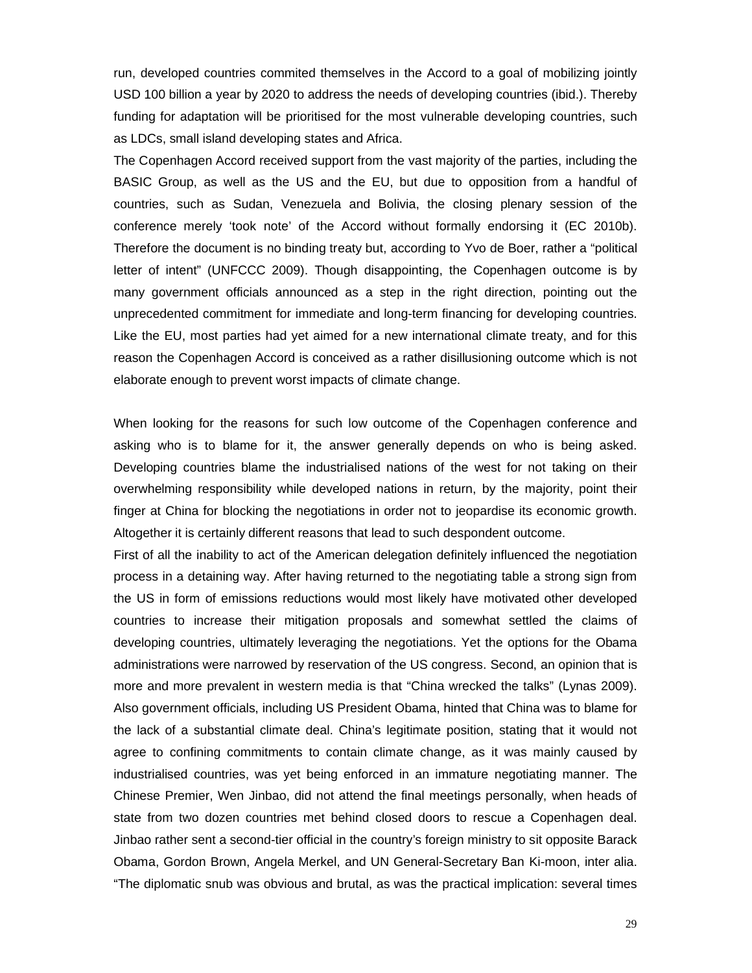run, developed countries commited themselves in the Accord to a goal of mobilizing jointly USD 100 billion a year by 2020 to address the needs of developing countries (ibid.). Thereby funding for adaptation will be prioritised for the most vulnerable developing countries, such as LDCs, small island developing states and Africa.

The Copenhagen Accord received support from the vast majority of the parties, including the BASIC Group, as well as the US and the EU, but due to opposition from a handful of countries, such as Sudan, Venezuela and Bolivia, the closing plenary session of the conference merely 'took note' of the Accord without formally endorsing it (EC 2010b). Therefore the document is no binding treaty but, according to Yvo de Boer, rather a "political letter of intent" (UNFCCC 2009). Though disappointing, the Copenhagen outcome is by many government officials announced as a step in the right direction, pointing out the unprecedented commitment for immediate and long-term financing for developing countries. Like the EU, most parties had yet aimed for a new international climate treaty, and for this reason the Copenhagen Accord is conceived as a rather disillusioning outcome which is not elaborate enough to prevent worst impacts of climate change.

When looking for the reasons for such low outcome of the Copenhagen conference and asking who is to blame for it, the answer generally depends on who is being asked. Developing countries blame the industrialised nations of the west for not taking on their overwhelming responsibility while developed nations in return, by the majority, point their finger at China for blocking the negotiations in order not to jeopardise its economic growth. Altogether it is certainly different reasons that lead to such despondent outcome.

First of all the inability to act of the American delegation definitely influenced the negotiation process in a detaining way. After having returned to the negotiating table a strong sign from the US in form of emissions reductions would most likely have motivated other developed countries to increase their mitigation proposals and somewhat settled the claims of developing countries, ultimately leveraging the negotiations. Yet the options for the Obama administrations were narrowed by reservation of the US congress. Second, an opinion that is more and more prevalent in western media is that "China wrecked the talks" (Lynas 2009). Also government officials, including US President Obama, hinted that China was to blame for the lack of a substantial climate deal. China's legitimate position, stating that it would not agree to confining commitments to contain climate change, as it was mainly caused by industrialised countries, was yet being enforced in an immature negotiating manner. The Chinese Premier, Wen Jinbao, did not attend the final meetings personally, when heads of state from two dozen countries met behind closed doors to rescue a Copenhagen deal. Jinbao rather sent a second-tier official in the country's foreign ministry to sit opposite Barack Obama, Gordon Brown, Angela Merkel, and UN General-Secretary Ban Ki-moon, inter alia. "The diplomatic snub was obvious and brutal, as was the practical implication: several times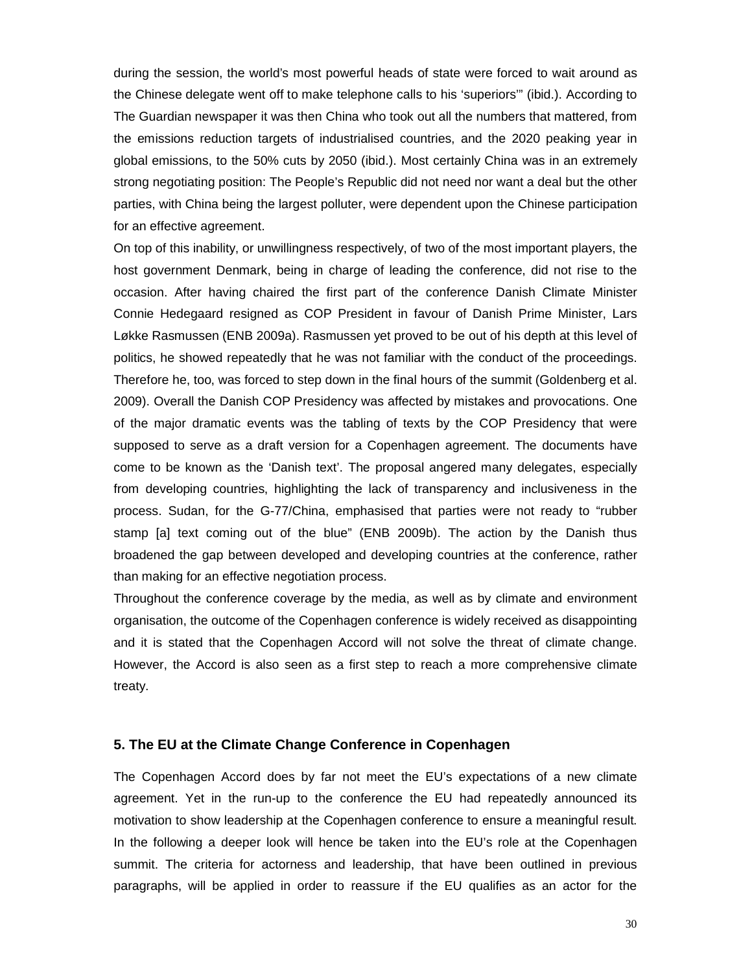during the session, the world's most powerful heads of state were forced to wait around as the Chinese delegate went off to make telephone calls to his 'superiors'" (ibid.). According to The Guardian newspaper it was then China who took out all the numbers that mattered, from the emissions reduction targets of industrialised countries, and the 2020 peaking year in global emissions, to the 50% cuts by 2050 (ibid.). Most certainly China was in an extremely strong negotiating position: The People's Republic did not need nor want a deal but the other parties, with China being the largest polluter, were dependent upon the Chinese participation for an effective agreement.

On top of this inability, or unwillingness respectively, of two of the most important players, the host government Denmark, being in charge of leading the conference, did not rise to the occasion. After having chaired the first part of the conference Danish Climate Minister Connie Hedegaard resigned as COP President in favour of Danish Prime Minister, Lars Løkke Rasmussen (ENB 2009a). Rasmussen yet proved to be out of his depth at this level of politics, he showed repeatedly that he was not familiar with the conduct of the proceedings. Therefore he, too, was forced to step down in the final hours of the summit (Goldenberg et al. 2009). Overall the Danish COP Presidency was affected by mistakes and provocations. One of the major dramatic events was the tabling of texts by the COP Presidency that were supposed to serve as a draft version for a Copenhagen agreement. The documents have come to be known as the 'Danish text'. The proposal angered many delegates, especially from developing countries, highlighting the lack of transparency and inclusiveness in the process. Sudan, for the G-77/China, emphasised that parties were not ready to "rubber stamp [a] text coming out of the blue" (ENB 2009b). The action by the Danish thus broadened the gap between developed and developing countries at the conference, rather than making for an effective negotiation process.

Throughout the conference coverage by the media, as well as by climate and environment organisation, the outcome of the Copenhagen conference is widely received as disappointing and it is stated that the Copenhagen Accord will not solve the threat of climate change. However, the Accord is also seen as a first step to reach a more comprehensive climate treaty.

### **5. The EU at the Climate Change Conference in Copenhagen**

The Copenhagen Accord does by far not meet the EU's expectations of a new climate agreement. Yet in the run-up to the conference the EU had repeatedly announced its motivation to show leadership at the Copenhagen conference to ensure a meaningful result. In the following a deeper look will hence be taken into the EU's role at the Copenhagen summit. The criteria for actorness and leadership, that have been outlined in previous paragraphs, will be applied in order to reassure if the EU qualifies as an actor for the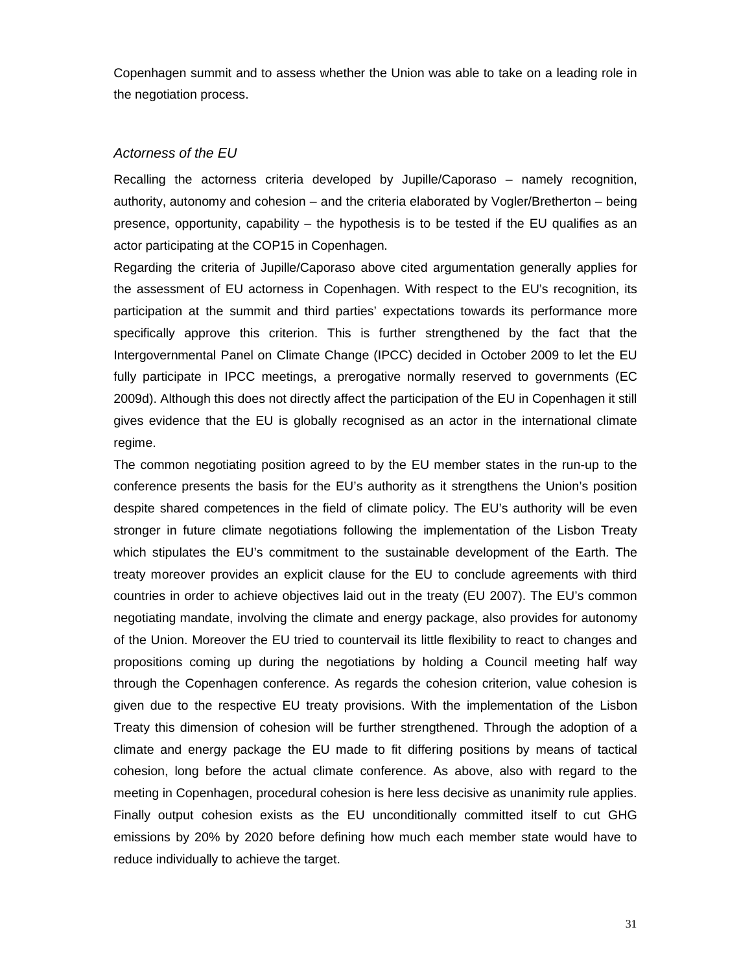Copenhagen summit and to assess whether the Union was able to take on a leading role in the negotiation process.

### *Actorness of the EU*

Recalling the actorness criteria developed by Jupille/Caporaso – namely recognition, authority, autonomy and cohesion – and the criteria elaborated by Vogler/Bretherton – being presence, opportunity, capability – the hypothesis is to be tested if the EU qualifies as an actor participating at the COP15 in Copenhagen.

Regarding the criteria of Jupille/Caporaso above cited argumentation generally applies for the assessment of EU actorness in Copenhagen. With respect to the EU's recognition, its participation at the summit and third parties' expectations towards its performance more specifically approve this criterion. This is further strengthened by the fact that the Intergovernmental Panel on Climate Change (IPCC) decided in October 2009 to let the EU fully participate in IPCC meetings, a prerogative normally reserved to governments (EC 2009d). Although this does not directly affect the participation of the EU in Copenhagen it still gives evidence that the EU is globally recognised as an actor in the international climate regime.

The common negotiating position agreed to by the EU member states in the run-up to the conference presents the basis for the EU's authority as it strengthens the Union's position despite shared competences in the field of climate policy. The EU's authority will be even stronger in future climate negotiations following the implementation of the Lisbon Treaty which stipulates the EU's commitment to the sustainable development of the Earth. The treaty moreover provides an explicit clause for the EU to conclude agreements with third countries in order to achieve objectives laid out in the treaty (EU 2007). The EU's common negotiating mandate, involving the climate and energy package, also provides for autonomy of the Union. Moreover the EU tried to countervail its little flexibility to react to changes and propositions coming up during the negotiations by holding a Council meeting half way through the Copenhagen conference. As regards the cohesion criterion, value cohesion is given due to the respective EU treaty provisions. With the implementation of the Lisbon Treaty this dimension of cohesion will be further strengthened. Through the adoption of a climate and energy package the EU made to fit differing positions by means of tactical cohesion, long before the actual climate conference. As above, also with regard to the meeting in Copenhagen, procedural cohesion is here less decisive as unanimity rule applies. Finally output cohesion exists as the EU unconditionally committed itself to cut GHG emissions by 20% by 2020 before defining how much each member state would have to reduce individually to achieve the target.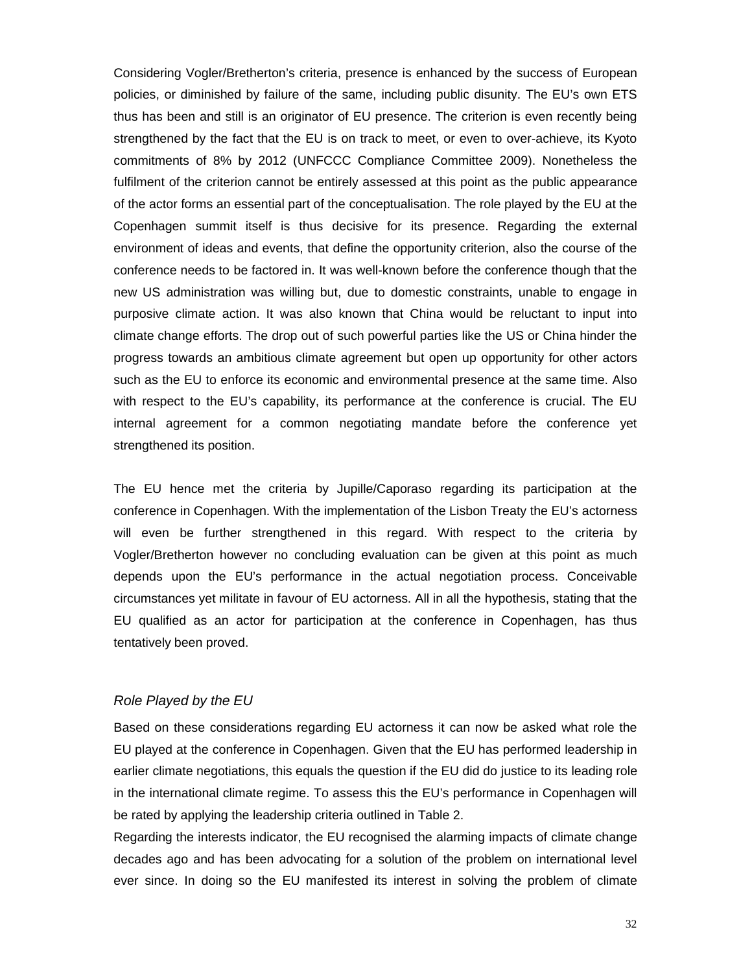Considering Vogler/Bretherton's criteria, presence is enhanced by the success of European policies, or diminished by failure of the same, including public disunity. The EU's own ETS thus has been and still is an originator of EU presence. The criterion is even recently being strengthened by the fact that the EU is on track to meet, or even to over-achieve, its Kyoto commitments of 8% by 2012 (UNFCCC Compliance Committee 2009). Nonetheless the fulfilment of the criterion cannot be entirely assessed at this point as the public appearance of the actor forms an essential part of the conceptualisation. The role played by the EU at the Copenhagen summit itself is thus decisive for its presence. Regarding the external environment of ideas and events, that define the opportunity criterion, also the course of the conference needs to be factored in. It was well-known before the conference though that the new US administration was willing but, due to domestic constraints, unable to engage in purposive climate action. It was also known that China would be reluctant to input into climate change efforts. The drop out of such powerful parties like the US or China hinder the progress towards an ambitious climate agreement but open up opportunity for other actors such as the EU to enforce its economic and environmental presence at the same time. Also with respect to the EU's capability, its performance at the conference is crucial. The EU internal agreement for a common negotiating mandate before the conference yet strengthened its position.

The EU hence met the criteria by Jupille/Caporaso regarding its participation at the conference in Copenhagen. With the implementation of the Lisbon Treaty the EU's actorness will even be further strengthened in this regard. With respect to the criteria by Vogler/Bretherton however no concluding evaluation can be given at this point as much depends upon the EU's performance in the actual negotiation process. Conceivable circumstances yet militate in favour of EU actorness. All in all the hypothesis, stating that the EU qualified as an actor for participation at the conference in Copenhagen, has thus tentatively been proved.

#### *Role Played by the EU*

Based on these considerations regarding EU actorness it can now be asked what role the EU played at the conference in Copenhagen. Given that the EU has performed leadership in earlier climate negotiations, this equals the question if the EU did do justice to its leading role in the international climate regime. To assess this the EU's performance in Copenhagen will be rated by applying the leadership criteria outlined in Table 2.

Regarding the interests indicator, the EU recognised the alarming impacts of climate change decades ago and has been advocating for a solution of the problem on international level ever since. In doing so the EU manifested its interest in solving the problem of climate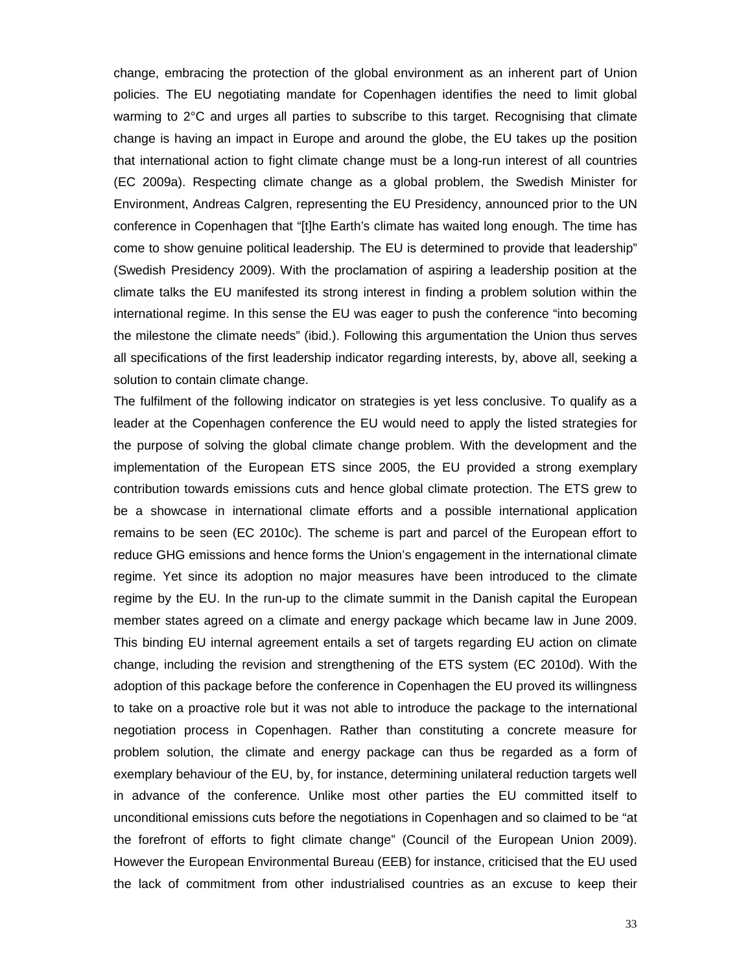change, embracing the protection of the global environment as an inherent part of Union policies. The EU negotiating mandate for Copenhagen identifies the need to limit global warming to 2°C and urges all parties to subscribe to this target. Recognising that climate change is having an impact in Europe and around the globe, the EU takes up the position that international action to fight climate change must be a long-run interest of all countries (EC 2009a). Respecting climate change as a global problem, the Swedish Minister for Environment, Andreas Calgren, representing the EU Presidency, announced prior to the UN conference in Copenhagen that "[t]he Earth's climate has waited long enough. The time has come to show genuine political leadership. The EU is determined to provide that leadership" (Swedish Presidency 2009). With the proclamation of aspiring a leadership position at the climate talks the EU manifested its strong interest in finding a problem solution within the international regime. In this sense the EU was eager to push the conference "into becoming the milestone the climate needs" (ibid.). Following this argumentation the Union thus serves all specifications of the first leadership indicator regarding interests, by, above all, seeking a solution to contain climate change.

The fulfilment of the following indicator on strategies is yet less conclusive. To qualify as a leader at the Copenhagen conference the EU would need to apply the listed strategies for the purpose of solving the global climate change problem. With the development and the implementation of the European ETS since 2005, the EU provided a strong exemplary contribution towards emissions cuts and hence global climate protection. The ETS grew to be a showcase in international climate efforts and a possible international application remains to be seen (EC 2010c). The scheme is part and parcel of the European effort to reduce GHG emissions and hence forms the Union's engagement in the international climate regime. Yet since its adoption no major measures have been introduced to the climate regime by the EU. In the run-up to the climate summit in the Danish capital the European member states agreed on a climate and energy package which became law in June 2009. This binding EU internal agreement entails a set of targets regarding EU action on climate change, including the revision and strengthening of the ETS system (EC 2010d). With the adoption of this package before the conference in Copenhagen the EU proved its willingness to take on a proactive role but it was not able to introduce the package to the international negotiation process in Copenhagen. Rather than constituting a concrete measure for problem solution, the climate and energy package can thus be regarded as a form of exemplary behaviour of the EU, by, for instance, determining unilateral reduction targets well in advance of the conference. Unlike most other parties the EU committed itself to unconditional emissions cuts before the negotiations in Copenhagen and so claimed to be "at the forefront of efforts to fight climate change" (Council of the European Union 2009). However the European Environmental Bureau (EEB) for instance, criticised that the EU used the lack of commitment from other industrialised countries as an excuse to keep their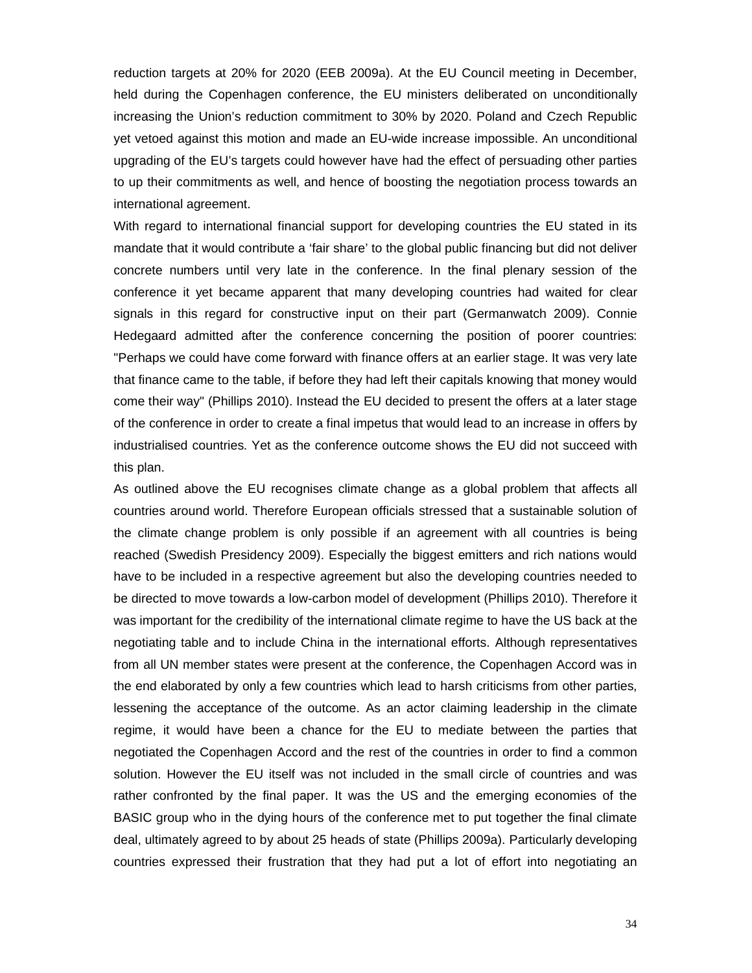reduction targets at 20% for 2020 (EEB 2009a). At the EU Council meeting in December, held during the Copenhagen conference, the EU ministers deliberated on unconditionally increasing the Union's reduction commitment to 30% by 2020. Poland and Czech Republic yet vetoed against this motion and made an EU-wide increase impossible. An unconditional upgrading of the EU's targets could however have had the effect of persuading other parties to up their commitments as well, and hence of boosting the negotiation process towards an international agreement.

With regard to international financial support for developing countries the EU stated in its mandate that it would contribute a 'fair share' to the global public financing but did not deliver concrete numbers until very late in the conference. In the final plenary session of the conference it yet became apparent that many developing countries had waited for clear signals in this regard for constructive input on their part (Germanwatch 2009). Connie Hedegaard admitted after the conference concerning the position of poorer countries: "Perhaps we could have come forward with finance offers at an earlier stage. It was very late that finance came to the table, if before they had left their capitals knowing that money would come their way" (Phillips 2010). Instead the EU decided to present the offers at a later stage of the conference in order to create a final impetus that would lead to an increase in offers by industrialised countries. Yet as the conference outcome shows the EU did not succeed with this plan.

As outlined above the EU recognises climate change as a global problem that affects all countries around world. Therefore European officials stressed that a sustainable solution of the climate change problem is only possible if an agreement with all countries is being reached (Swedish Presidency 2009). Especially the biggest emitters and rich nations would have to be included in a respective agreement but also the developing countries needed to be directed to move towards a low-carbon model of development (Phillips 2010). Therefore it was important for the credibility of the international climate regime to have the US back at the negotiating table and to include China in the international efforts. Although representatives from all UN member states were present at the conference, the Copenhagen Accord was in the end elaborated by only a few countries which lead to harsh criticisms from other parties, lessening the acceptance of the outcome. As an actor claiming leadership in the climate regime, it would have been a chance for the EU to mediate between the parties that negotiated the Copenhagen Accord and the rest of the countries in order to find a common solution. However the EU itself was not included in the small circle of countries and was rather confronted by the final paper. It was the US and the emerging economies of the BASIC group who in the dying hours of the conference met to put together the final climate deal, ultimately agreed to by about 25 heads of state (Phillips 2009a). Particularly developing countries expressed their frustration that they had put a lot of effort into negotiating an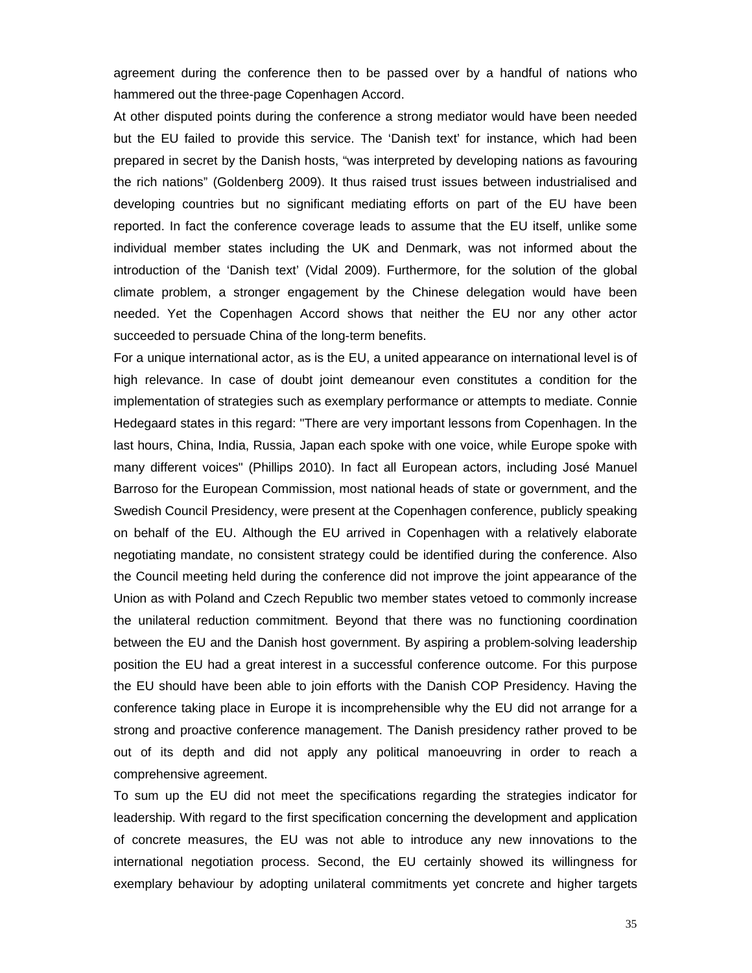agreement during the conference then to be passed over by a handful of nations who hammered out the three-page Copenhagen Accord.

At other disputed points during the conference a strong mediator would have been needed but the EU failed to provide this service. The 'Danish text' for instance, which had been prepared in secret by the Danish hosts, "was interpreted by developing nations as favouring the rich nations" (Goldenberg 2009). It thus raised trust issues between industrialised and developing countries but no significant mediating efforts on part of the EU have been reported. In fact the conference coverage leads to assume that the EU itself, unlike some individual member states including the UK and Denmark, was not informed about the introduction of the 'Danish text' (Vidal 2009). Furthermore, for the solution of the global climate problem, a stronger engagement by the Chinese delegation would have been needed. Yet the Copenhagen Accord shows that neither the EU nor any other actor succeeded to persuade China of the long-term benefits.

For a unique international actor, as is the EU, a united appearance on international level is of high relevance. In case of doubt joint demeanour even constitutes a condition for the implementation of strategies such as exemplary performance or attempts to mediate. Connie Hedegaard states in this regard: "There are very important lessons from Copenhagen. In the last hours, China, India, Russia, Japan each spoke with one voice, while Europe spoke with many different voices" (Phillips 2010). In fact all European actors, including José Manuel Barroso for the European Commission, most national heads of state or government, and the Swedish Council Presidency, were present at the Copenhagen conference, publicly speaking on behalf of the EU. Although the EU arrived in Copenhagen with a relatively elaborate negotiating mandate, no consistent strategy could be identified during the conference. Also the Council meeting held during the conference did not improve the joint appearance of the Union as with Poland and Czech Republic two member states vetoed to commonly increase the unilateral reduction commitment. Beyond that there was no functioning coordination between the EU and the Danish host government. By aspiring a problem-solving leadership position the EU had a great interest in a successful conference outcome. For this purpose the EU should have been able to join efforts with the Danish COP Presidency. Having the conference taking place in Europe it is incomprehensible why the EU did not arrange for a strong and proactive conference management. The Danish presidency rather proved to be out of its depth and did not apply any political manoeuvring in order to reach a comprehensive agreement.

To sum up the EU did not meet the specifications regarding the strategies indicator for leadership. With regard to the first specification concerning the development and application of concrete measures, the EU was not able to introduce any new innovations to the international negotiation process. Second, the EU certainly showed its willingness for exemplary behaviour by adopting unilateral commitments yet concrete and higher targets

35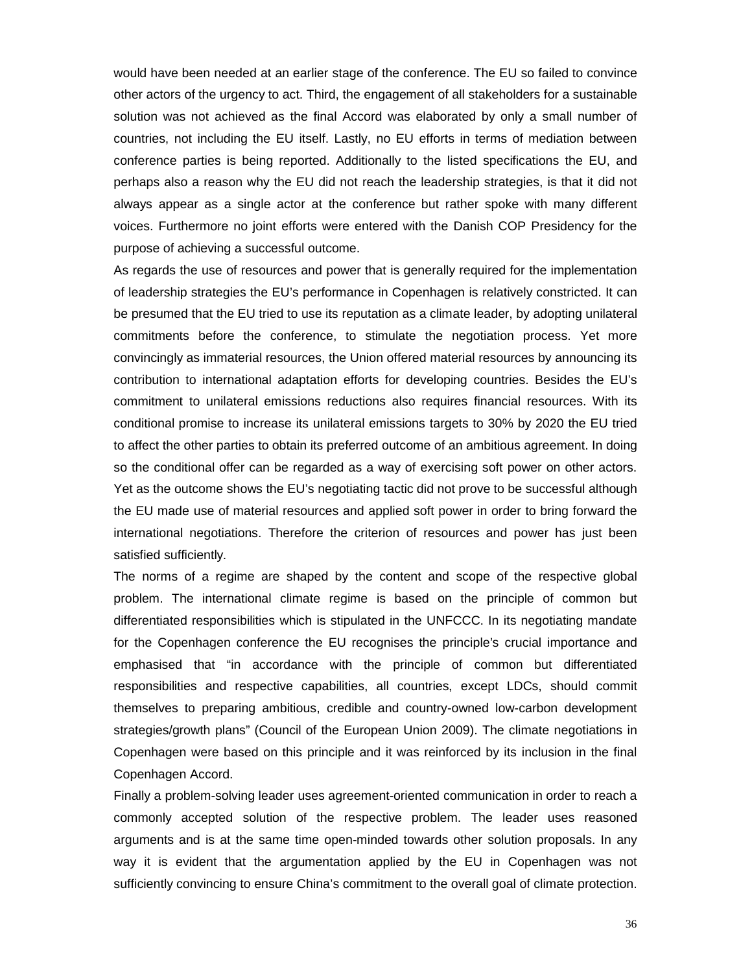would have been needed at an earlier stage of the conference. The EU so failed to convince other actors of the urgency to act. Third, the engagement of all stakeholders for a sustainable solution was not achieved as the final Accord was elaborated by only a small number of countries, not including the EU itself. Lastly, no EU efforts in terms of mediation between conference parties is being reported. Additionally to the listed specifications the EU, and perhaps also a reason why the EU did not reach the leadership strategies, is that it did not always appear as a single actor at the conference but rather spoke with many different voices. Furthermore no joint efforts were entered with the Danish COP Presidency for the purpose of achieving a successful outcome.

As regards the use of resources and power that is generally required for the implementation of leadership strategies the EU's performance in Copenhagen is relatively constricted. It can be presumed that the EU tried to use its reputation as a climate leader, by adopting unilateral commitments before the conference, to stimulate the negotiation process. Yet more convincingly as immaterial resources, the Union offered material resources by announcing its contribution to international adaptation efforts for developing countries. Besides the EU's commitment to unilateral emissions reductions also requires financial resources. With its conditional promise to increase its unilateral emissions targets to 30% by 2020 the EU tried to affect the other parties to obtain its preferred outcome of an ambitious agreement. In doing so the conditional offer can be regarded as a way of exercising soft power on other actors. Yet as the outcome shows the EU's negotiating tactic did not prove to be successful although the EU made use of material resources and applied soft power in order to bring forward the international negotiations. Therefore the criterion of resources and power has just been satisfied sufficiently.

The norms of a regime are shaped by the content and scope of the respective global problem. The international climate regime is based on the principle of common but differentiated responsibilities which is stipulated in the UNFCCC. In its negotiating mandate for the Copenhagen conference the EU recognises the principle's crucial importance and emphasised that "in accordance with the principle of common but differentiated responsibilities and respective capabilities, all countries, except LDCs, should commit themselves to preparing ambitious, credible and country-owned low-carbon development strategies/growth plans" (Council of the European Union 2009). The climate negotiations in Copenhagen were based on this principle and it was reinforced by its inclusion in the final Copenhagen Accord.

Finally a problem-solving leader uses agreement-oriented communication in order to reach a commonly accepted solution of the respective problem. The leader uses reasoned arguments and is at the same time open-minded towards other solution proposals. In any way it is evident that the argumentation applied by the EU in Copenhagen was not sufficiently convincing to ensure China's commitment to the overall goal of climate protection.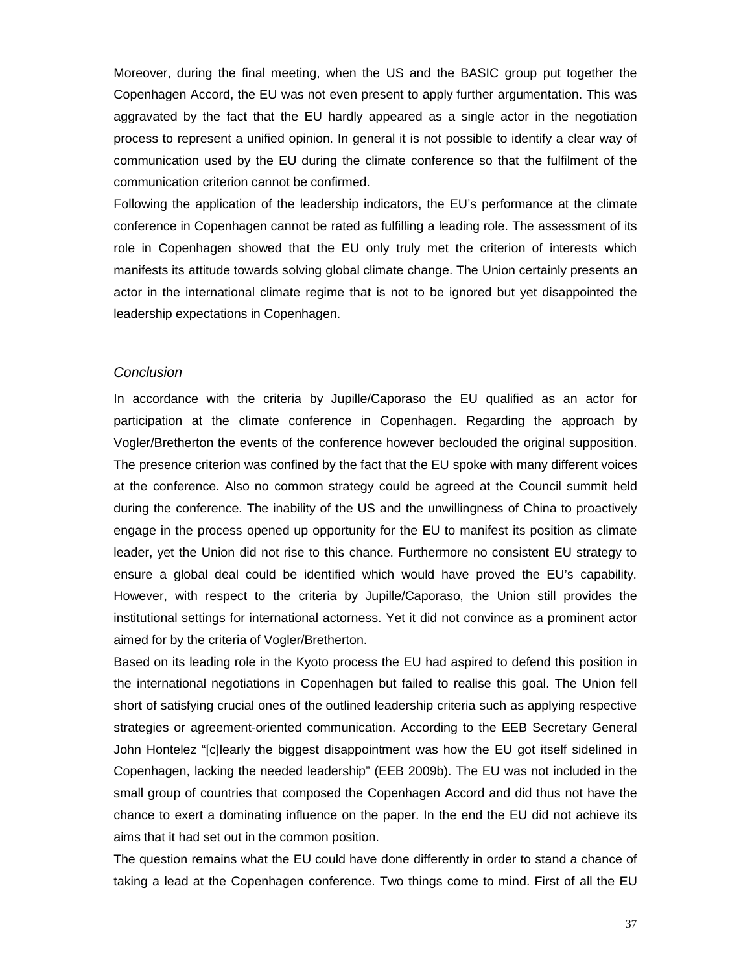Moreover, during the final meeting, when the US and the BASIC group put together the Copenhagen Accord, the EU was not even present to apply further argumentation. This was aggravated by the fact that the EU hardly appeared as a single actor in the negotiation process to represent a unified opinion. In general it is not possible to identify a clear way of communication used by the EU during the climate conference so that the fulfilment of the communication criterion cannot be confirmed.

Following the application of the leadership indicators, the EU's performance at the climate conference in Copenhagen cannot be rated as fulfilling a leading role. The assessment of its role in Copenhagen showed that the EU only truly met the criterion of interests which manifests its attitude towards solving global climate change. The Union certainly presents an actor in the international climate regime that is not to be ignored but yet disappointed the leadership expectations in Copenhagen.

#### *Conclusion*

In accordance with the criteria by Jupille/Caporaso the EU qualified as an actor for participation at the climate conference in Copenhagen. Regarding the approach by Vogler/Bretherton the events of the conference however beclouded the original supposition. The presence criterion was confined by the fact that the EU spoke with many different voices at the conference. Also no common strategy could be agreed at the Council summit held during the conference. The inability of the US and the unwillingness of China to proactively engage in the process opened up opportunity for the EU to manifest its position as climate leader, yet the Union did not rise to this chance. Furthermore no consistent EU strategy to ensure a global deal could be identified which would have proved the EU's capability. However, with respect to the criteria by Jupille/Caporaso, the Union still provides the institutional settings for international actorness. Yet it did not convince as a prominent actor aimed for by the criteria of Vogler/Bretherton.

Based on its leading role in the Kyoto process the EU had aspired to defend this position in the international negotiations in Copenhagen but failed to realise this goal. The Union fell short of satisfying crucial ones of the outlined leadership criteria such as applying respective strategies or agreement-oriented communication. According to the EEB Secretary General John Hontelez "[c]learly the biggest disappointment was how the EU got itself sidelined in Copenhagen, lacking the needed leadership" (EEB 2009b). The EU was not included in the small group of countries that composed the Copenhagen Accord and did thus not have the chance to exert a dominating influence on the paper. In the end the EU did not achieve its aims that it had set out in the common position.

The question remains what the EU could have done differently in order to stand a chance of taking a lead at the Copenhagen conference. Two things come to mind. First of all the EU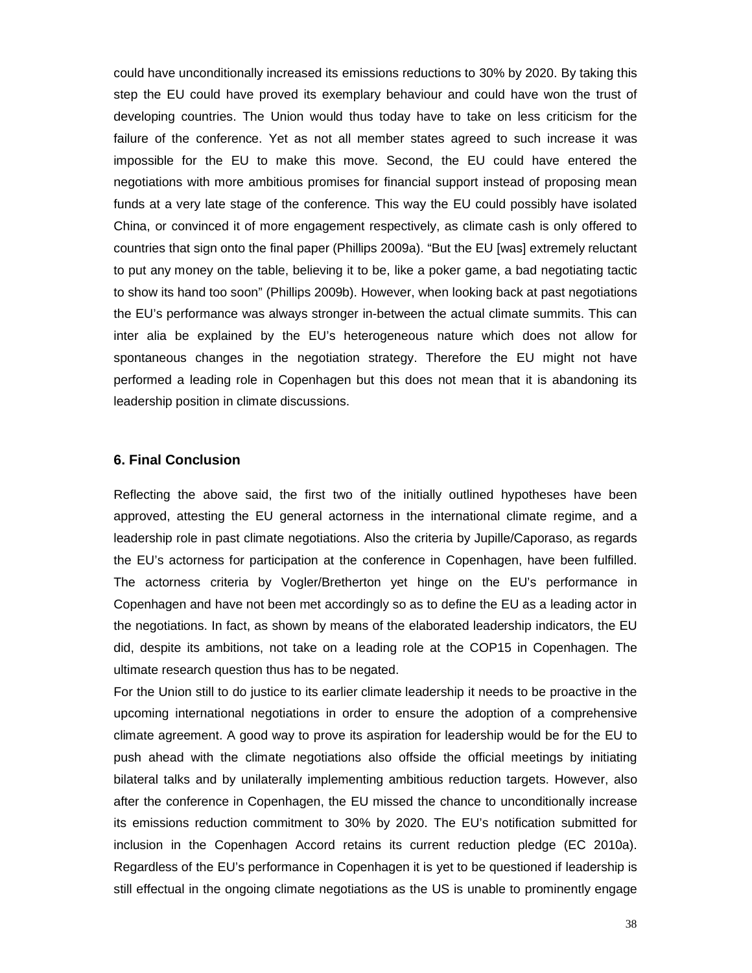could have unconditionally increased its emissions reductions to 30% by 2020. By taking this step the EU could have proved its exemplary behaviour and could have won the trust of developing countries. The Union would thus today have to take on less criticism for the failure of the conference. Yet as not all member states agreed to such increase it was impossible for the EU to make this move. Second, the EU could have entered the negotiations with more ambitious promises for financial support instead of proposing mean funds at a very late stage of the conference. This way the EU could possibly have isolated China, or convinced it of more engagement respectively, as climate cash is only offered to countries that sign onto the final paper (Phillips 2009a). "But the EU [was] extremely reluctant to put any money on the table, believing it to be, like a poker game, a bad negotiating tactic to show its hand too soon" (Phillips 2009b). However, when looking back at past negotiations the EU's performance was always stronger in-between the actual climate summits. This can inter alia be explained by the EU's heterogeneous nature which does not allow for spontaneous changes in the negotiation strategy. Therefore the EU might not have performed a leading role in Copenhagen but this does not mean that it is abandoning its leadership position in climate discussions.

### **6. Final Conclusion**

Reflecting the above said, the first two of the initially outlined hypotheses have been approved, attesting the EU general actorness in the international climate regime, and a leadership role in past climate negotiations. Also the criteria by Jupille/Caporaso, as regards the EU's actorness for participation at the conference in Copenhagen, have been fulfilled. The actorness criteria by Vogler/Bretherton yet hinge on the EU's performance in Copenhagen and have not been met accordingly so as to define the EU as a leading actor in the negotiations. In fact, as shown by means of the elaborated leadership indicators, the EU did, despite its ambitions, not take on a leading role at the COP15 in Copenhagen. The ultimate research question thus has to be negated.

For the Union still to do justice to its earlier climate leadership it needs to be proactive in the upcoming international negotiations in order to ensure the adoption of a comprehensive climate agreement. A good way to prove its aspiration for leadership would be for the EU to push ahead with the climate negotiations also offside the official meetings by initiating bilateral talks and by unilaterally implementing ambitious reduction targets. However, also after the conference in Copenhagen, the EU missed the chance to unconditionally increase its emissions reduction commitment to 30% by 2020. The EU's notification submitted for inclusion in the Copenhagen Accord retains its current reduction pledge (EC 2010a). Regardless of the EU's performance in Copenhagen it is yet to be questioned if leadership is still effectual in the ongoing climate negotiations as the US is unable to prominently engage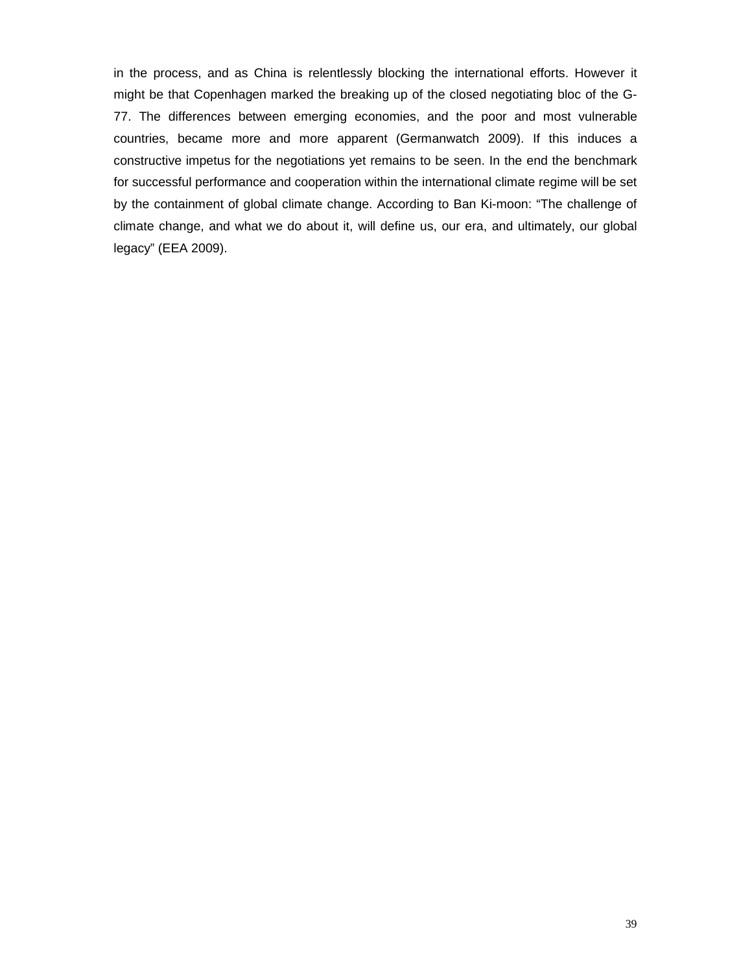in the process, and as China is relentlessly blocking the international efforts. However it might be that Copenhagen marked the breaking up of the closed negotiating bloc of the G-77. The differences between emerging economies, and the poor and most vulnerable countries, became more and more apparent (Germanwatch 2009). If this induces a constructive impetus for the negotiations yet remains to be seen. In the end the benchmark for successful performance and cooperation within the international climate regime will be set by the containment of global climate change. According to Ban Ki-moon: "The challenge of climate change, and what we do about it, will define us, our era, and ultimately, our global legacy" (EEA 2009).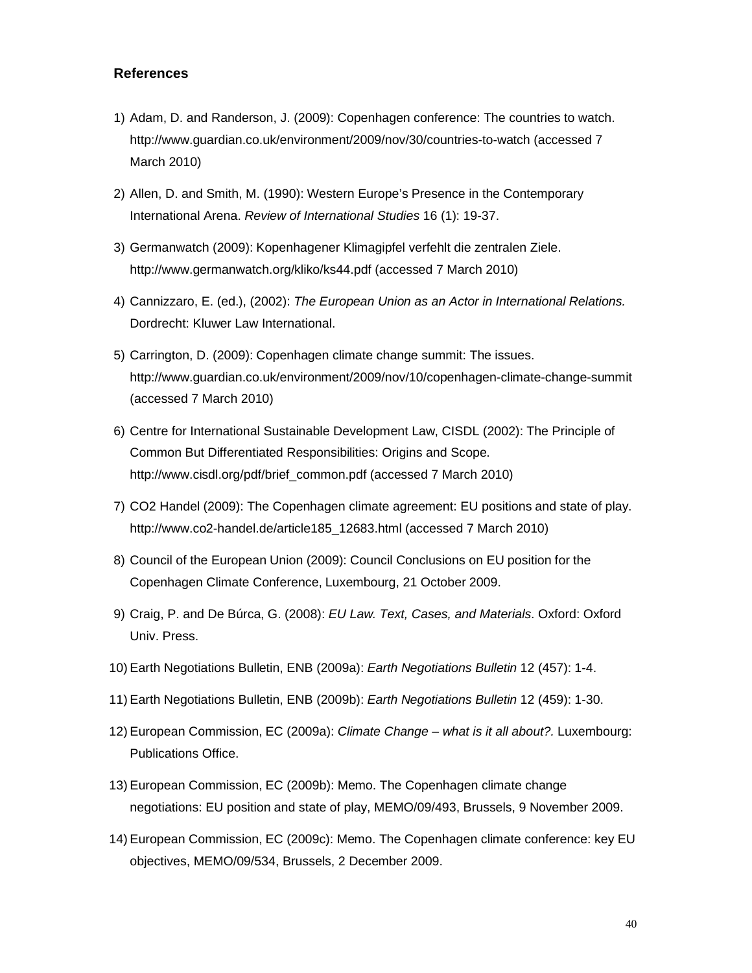### **References**

- 1) Adam, D. and Randerson, J. (2009): Copenhagen conference: The countries to watch. http://www.guardian.co.uk/environment/2009/nov/30/countries-to-watch (accessed 7 March 2010)
- 2) Allen, D. and Smith, M. (1990): Western Europe's Presence in the Contemporary International Arena. *Review of International Studies* 16 (1): 19-37.
- 3) Germanwatch (2009): Kopenhagener Klimagipfel verfehlt die zentralen Ziele. http://www.germanwatch.org/kliko/ks44.pdf (accessed 7 March 2010)
- 4) Cannizzaro, E. (ed.), (2002): *The European Union as an Actor in International Relations.* Dordrecht: Kluwer Law International.
- 5) Carrington, D. (2009): Copenhagen climate change summit: The issues. http://www.guardian.co.uk/environment/2009/nov/10/copenhagen-climate-change-summit (accessed 7 March 2010)
- 6) Centre for International Sustainable Development Law, CISDL (2002): The Principle of Common But Differentiated Responsibilities: Origins and Scope. http://www.cisdl.org/pdf/brief\_common.pdf (accessed 7 March 2010)
- 7) CO2 Handel (2009): The Copenhagen climate agreement: EU positions and state of play. http://www.co2-handel.de/article185\_12683.html (accessed 7 March 2010)
- 8) Council of the European Union (2009): Council Conclusions on EU position for the Copenhagen Climate Conference, Luxembourg, 21 October 2009.
- 9) Craig, P. and De Búrca, G. (2008): *EU Law. Text, Cases, and Materials*. Oxford: Oxford Univ. Press.
- 10) Earth Negotiations Bulletin, ENB (2009a): *Earth Negotiations Bulletin* 12 (457): 1-4.
- 11) Earth Negotiations Bulletin, ENB (2009b): *Earth Negotiations Bulletin* 12 (459): 1-30.
- 12) European Commission, EC (2009a): *Climate Change what is it all about?.* Luxembourg: Publications Office.
- 13) European Commission, EC (2009b): Memo. The Copenhagen climate change negotiations: EU position and state of play, MEMO/09/493, Brussels, 9 November 2009.
- 14) European Commission, EC (2009c): Memo. The Copenhagen climate conference: key EU objectives, MEMO/09/534, Brussels, 2 December 2009.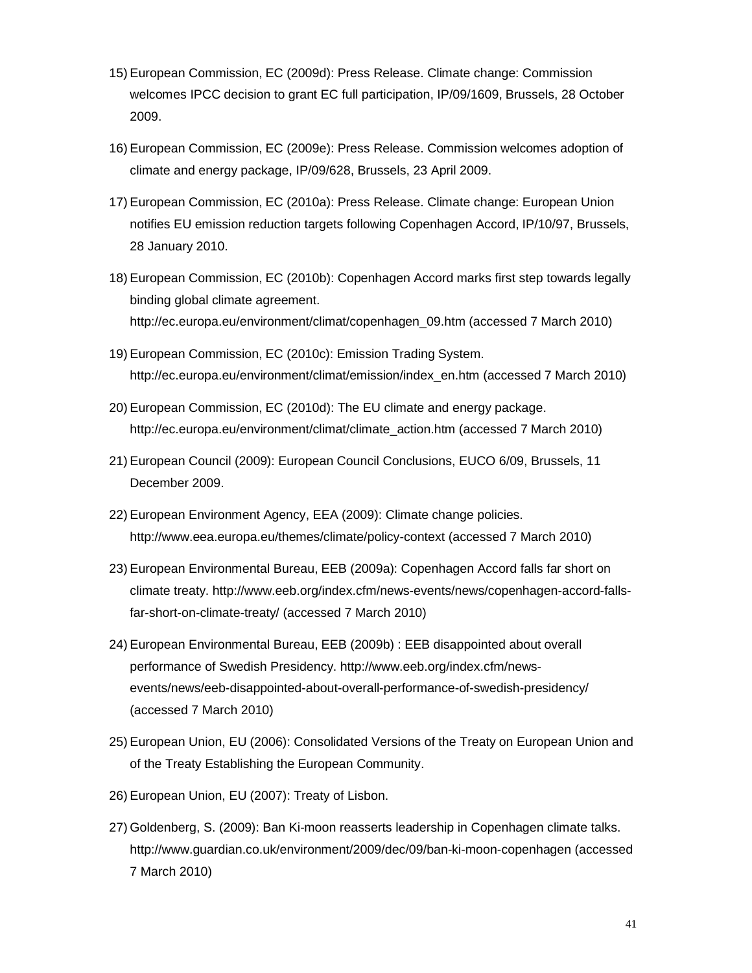- 15) European Commission, EC (2009d): Press Release. Climate change: Commission welcomes IPCC decision to grant EC full participation, IP/09/1609, Brussels, 28 October 2009.
- 16) European Commission, EC (2009e): Press Release. Commission welcomes adoption of climate and energy package, IP/09/628, Brussels, 23 April 2009.
- 17) European Commission, EC (2010a): Press Release. Climate change: European Union notifies EU emission reduction targets following Copenhagen Accord, IP/10/97, Brussels, 28 January 2010.
- 18) European Commission, EC (2010b): Copenhagen Accord marks first step towards legally binding global climate agreement. http://ec.europa.eu/environment/climat/copenhagen\_09.htm (accessed 7 March 2010)
- 19) European Commission, EC (2010c): Emission Trading System. http://ec.europa.eu/environment/climat/emission/index\_en.htm (accessed 7 March 2010)
- 20) European Commission, EC (2010d): The EU climate and energy package. http://ec.europa.eu/environment/climat/climate\_action.htm (accessed 7 March 2010)
- 21) European Council (2009): European Council Conclusions, EUCO 6/09, Brussels, 11 December 2009.
- 22) European Environment Agency, EEA (2009): Climate change policies. http://www.eea.europa.eu/themes/climate/policy-context (accessed 7 March 2010)
- 23) European Environmental Bureau, EEB (2009a): Copenhagen Accord falls far short on climate treaty. http://www.eeb.org/index.cfm/news-events/news/copenhagen-accord-fallsfar-short-on-climate-treaty/ (accessed 7 March 2010)
- 24) European Environmental Bureau, EEB (2009b) : EEB disappointed about overall performance of Swedish Presidency. http://www.eeb.org/index.cfm/newsevents/news/eeb-disappointed-about-overall-performance-of-swedish-presidency/ (accessed 7 March 2010)
- 25) European Union, EU (2006): Consolidated Versions of the Treaty on European Union and of the Treaty Establishing the European Community.
- 26) European Union, EU (2007): Treaty of Lisbon.
- 27) Goldenberg, S. (2009): Ban Ki-moon reasserts leadership in Copenhagen climate talks. http://www.guardian.co.uk/environment/2009/dec/09/ban-ki-moon-copenhagen (accessed 7 March 2010)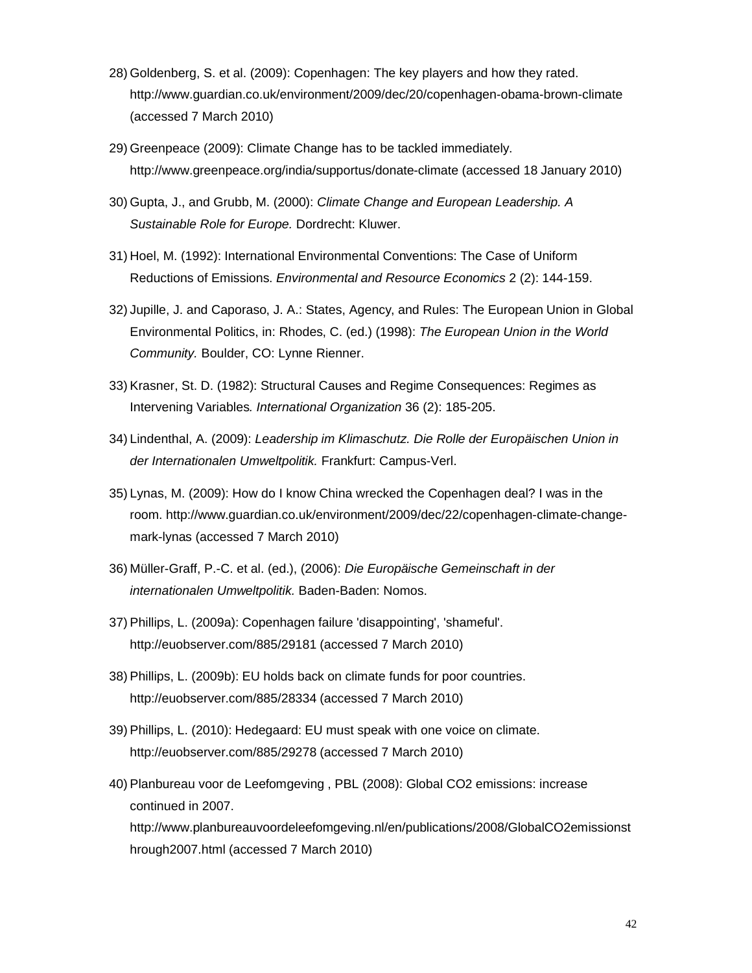- 28) Goldenberg, S. et al. (2009): Copenhagen: The key players and how they rated. http://www.guardian.co.uk/environment/2009/dec/20/copenhagen-obama-brown-climate (accessed 7 March 2010)
- 29) Greenpeace (2009): Climate Change has to be tackled immediately. http://www.greenpeace.org/india/supportus/donate-climate (accessed 18 January 2010)
- 30) Gupta, J., and Grubb, M. (2000): *Climate Change and European Leadership. A Sustainable Role for Europe.* Dordrecht: Kluwer.
- 31) Hoel, M. (1992): International Environmental Conventions: The Case of Uniform Reductions of Emissions. *Environmental and Resource Economics* 2 (2): 144-159.
- 32) Jupille, J. and Caporaso, J. A.: States, Agency, and Rules: The European Union in Global Environmental Politics, in: Rhodes, C. (ed.) (1998): *The European Union in the World Community.* Boulder, CO: Lynne Rienner.
- 33) Krasner, St. D. (1982): Structural Causes and Regime Consequences: Regimes as Intervening Variables*. International Organization* 36 (2): 185-205.
- 34) Lindenthal, A. (2009): *Leadership im Klimaschutz. Die Rolle der Europäischen Union in der Internationalen Umweltpolitik.* Frankfurt: Campus-Verl.
- 35) Lynas, M. (2009): How do I know China wrecked the Copenhagen deal? I was in the room. http://www.guardian.co.uk/environment/2009/dec/22/copenhagen-climate-changemark-lynas (accessed 7 March 2010)
- 36) Müller-Graff, P.-C. et al. (ed.), (2006): *Die Europäische Gemeinschaft in der internationalen Umweltpolitik.* Baden-Baden: Nomos.
- 37) Phillips, L. (2009a): Copenhagen failure 'disappointing', 'shameful'. http://euobserver.com/885/29181 (accessed 7 March 2010)
- 38) Phillips, L. (2009b): EU holds back on climate funds for poor countries. http://euobserver.com/885/28334 (accessed 7 March 2010)
- 39) Phillips, L. (2010): Hedegaard: EU must speak with one voice on climate. http://euobserver.com/885/29278 (accessed 7 March 2010)
- 40) Planbureau voor de Leefomgeving , PBL (2008): Global CO2 emissions: increase continued in 2007. http://www.planbureauvoordeleefomgeving.nl/en/publications/2008/GlobalCO2emissionst hrough2007.html (accessed 7 March 2010)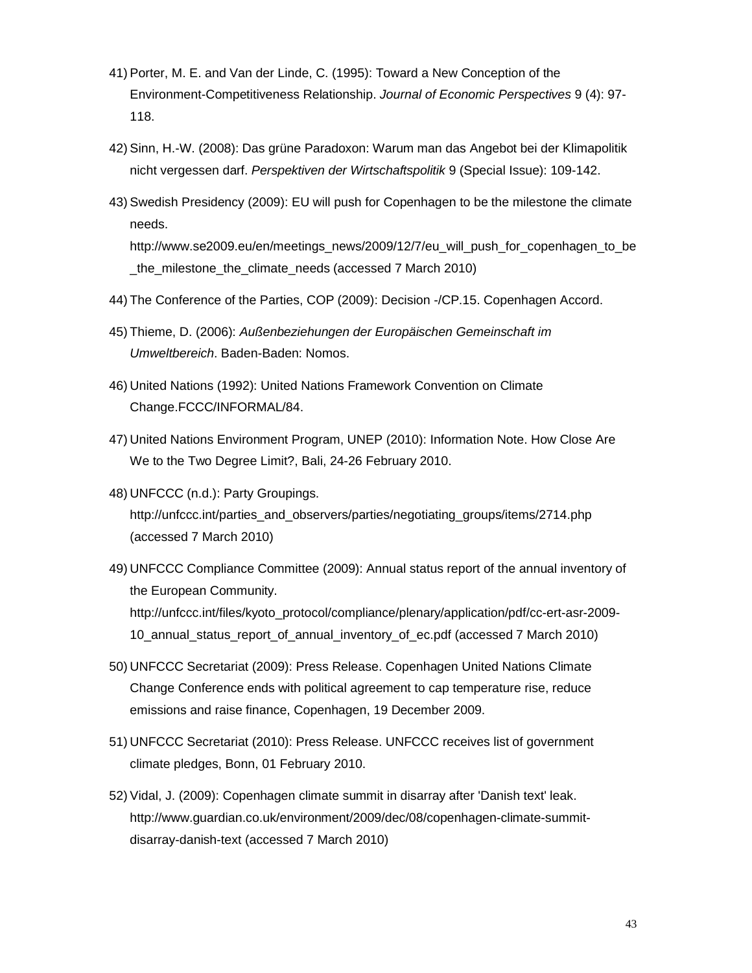- 41) Porter, M. E. and Van der Linde, C. (1995): Toward a New Conception of the Environment-Competitiveness Relationship. *Journal of Economic Perspectives* 9 (4): 97- 118.
- 42) Sinn, H.-W. (2008): Das grüne Paradoxon: Warum man das Angebot bei der Klimapolitik nicht vergessen darf. *Perspektiven der Wirtschaftspolitik* 9 (Special Issue): 109-142.
- 43) Swedish Presidency (2009): EU will push for Copenhagen to be the milestone the climate needs.

http://www.se2009.eu/en/meetings\_news/2009/12/7/eu\_will\_push\_for\_copenhagen\_to\_be \_the\_milestone\_the\_climate\_needs (accessed 7 March 2010)

- 44) The Conference of the Parties, COP (2009): Decision -/CP.15. Copenhagen Accord.
- 45) Thieme, D. (2006): *Außenbeziehungen der Europäischen Gemeinschaft im Umweltbereich*. Baden-Baden: Nomos.
- 46) United Nations (1992): United Nations Framework Convention on Climate Change.FCCC/INFORMAL/84.
- 47) United Nations Environment Program, UNEP (2010): Information Note. How Close Are We to the Two Degree Limit?, Bali, 24-26 February 2010.
- 48) UNFCCC (n.d.): Party Groupings. http://unfccc.int/parties\_and\_observers/parties/negotiating\_groups/items/2714.php (accessed 7 March 2010)
- 49) UNFCCC Compliance Committee (2009): Annual status report of the annual inventory of the European Community. http://unfccc.int/files/kyoto\_protocol/compliance/plenary/application/pdf/cc-ert-asr-2009- 10\_annual\_status\_report\_of\_annual\_inventory\_of\_ec.pdf (accessed 7 March 2010)
- 50) UNFCCC Secretariat (2009): Press Release. Copenhagen United Nations Climate Change Conference ends with political agreement to cap temperature rise, reduce emissions and raise finance, Copenhagen, 19 December 2009.
- 51) UNFCCC Secretariat (2010): Press Release. UNFCCC receives list of government climate pledges, Bonn, 01 February 2010.
- 52) Vidal, J. (2009): Copenhagen climate summit in disarray after 'Danish text' leak. http://www.guardian.co.uk/environment/2009/dec/08/copenhagen-climate-summitdisarray-danish-text (accessed 7 March 2010)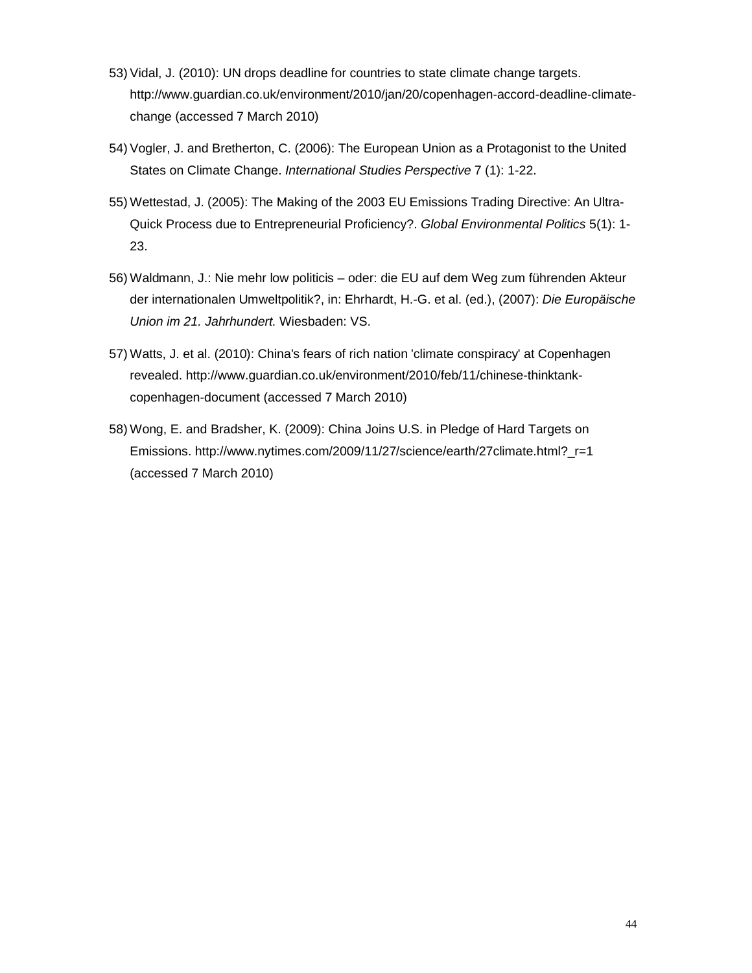- 53) Vidal, J. (2010): UN drops deadline for countries to state climate change targets. http://www.guardian.co.uk/environment/2010/jan/20/copenhagen-accord-deadline-climatechange (accessed 7 March 2010)
- 54) Vogler, J. and Bretherton, C. (2006): The European Union as a Protagonist to the United States on Climate Change. *International Studies Perspective* 7 (1): 1-22.
- 55) Wettestad, J. (2005): The Making of the 2003 EU Emissions Trading Directive: An Ultra-Quick Process due to Entrepreneurial Proficiency?. *Global Environmental Politics* 5(1): 1- 23.
- 56) Waldmann, J.: Nie mehr low politicis oder: die EU auf dem Weg zum führenden Akteur der internationalen Umweltpolitik?, in: Ehrhardt, H.-G. et al. (ed.), (2007): *Die Europäische Union im 21. Jahrhundert.* Wiesbaden: VS.
- 57) Watts, J. et al. (2010): China's fears of rich nation 'climate conspiracy' at Copenhagen revealed. http://www.guardian.co.uk/environment/2010/feb/11/chinese-thinktankcopenhagen-document (accessed 7 March 2010)
- 58) Wong, E. and Bradsher, K. (2009): China Joins U.S. in Pledge of Hard Targets on Emissions. http://www.nytimes.com/2009/11/27/science/earth/27climate.html?\_r=1 (accessed 7 March 2010)